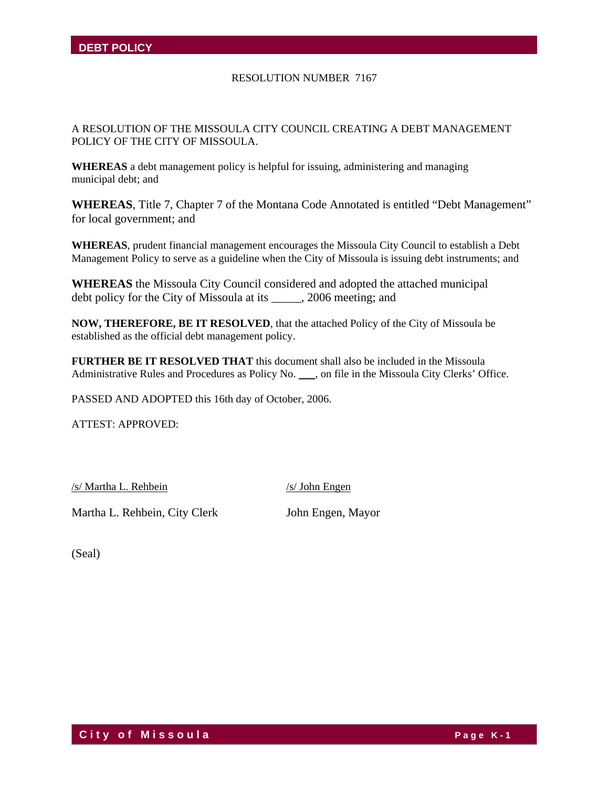#### RESOLUTION NUMBER 7167

A RESOLUTION OF THE MISSOULA CITY COUNCIL CREATING A DEBT MANAGEMENT POLICY OF THE CITY OF MISSOULA.

**WHEREAS** a debt management policy is helpful for issuing, administering and managing municipal debt; and

**WHEREAS**, Title 7, Chapter 7 of the Montana Code Annotated is entitled "Debt Management" for local government; and

**WHEREAS**, prudent financial management encourages the Missoula City Council to establish a Debt Management Policy to serve as a guideline when the City of Missoula is issuing debt instruments; and

**WHEREAS** the Missoula City Council considered and adopted the attached municipal debt policy for the City of Missoula at its \_\_\_\_\_, 2006 meeting; and

**NOW, THEREFORE, BE IT RESOLVED**, that the attached Policy of the City of Missoula be established as the official debt management policy.

**FURTHER BE IT RESOLVED THAT** this document shall also be included in the Missoula Administrative Rules and Procedures as Policy No. \_\_\_, on file in the Missoula City Clerks' Office.

PASSED AND ADOPTED this 16th day of October, 2006.

ATTEST: APPROVED:

/s/ Martha L. Rehbein /s/ John Engen

Martha L. Rehbein, City Clerk John Engen, Mayor

(Seal)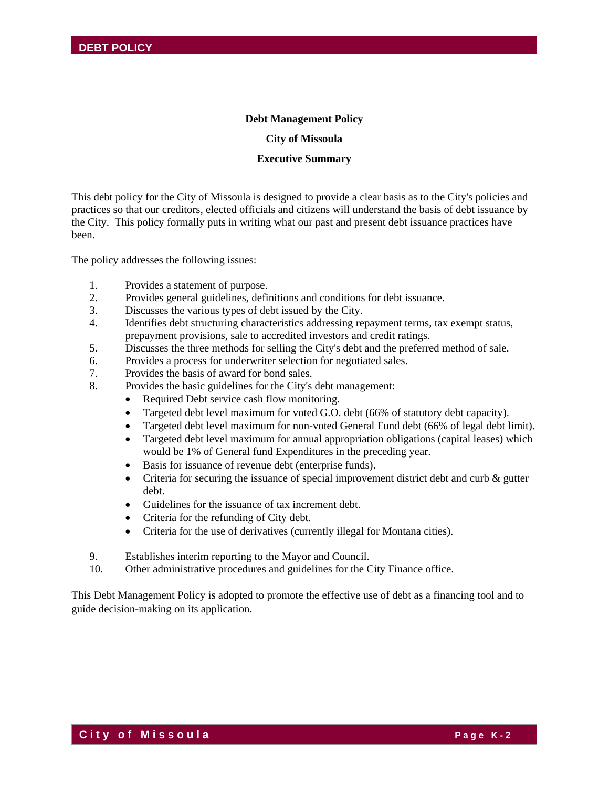#### **Debt Management Policy**

#### **City of Missoula**

#### **Executive Summary**

This debt policy for the City of Missoula is designed to provide a clear basis as to the City's policies and practices so that our creditors, elected officials and citizens will understand the basis of debt issuance by the City. This policy formally puts in writing what our past and present debt issuance practices have been.

The policy addresses the following issues:

- 1. Provides a statement of purpose.
- 2. Provides general guidelines, definitions and conditions for debt issuance.
- 3. Discusses the various types of debt issued by the City.
- 4. Identifies debt structuring characteristics addressing repayment terms, tax exempt status, prepayment provisions, sale to accredited investors and credit ratings.
- 5. Discusses the three methods for selling the City's debt and the preferred method of sale.
- 6. Provides a process for underwriter selection for negotiated sales.
- 7. Provides the basis of award for bond sales.
- 8. Provides the basic guidelines for the City's debt management:
	- Required Debt service cash flow monitoring.
	- Targeted debt level maximum for voted G.O. debt (66% of statutory debt capacity).
	- Targeted debt level maximum for non-voted General Fund debt (66% of legal debt limit).
	- Targeted debt level maximum for annual appropriation obligations (capital leases) which would be 1% of General fund Expenditures in the preceding year.
	- Basis for issuance of revenue debt (enterprise funds).
	- Criteria for securing the issuance of special improvement district debt and curb & gutter debt.
	- Guidelines for the issuance of tax increment debt.
	- Criteria for the refunding of City debt.
	- Criteria for the use of derivatives (currently illegal for Montana cities).
- 9. Establishes interim reporting to the Mayor and Council.
- 10. Other administrative procedures and guidelines for the City Finance office.

This Debt Management Policy is adopted to promote the effective use of debt as a financing tool and to guide decision-making on its application.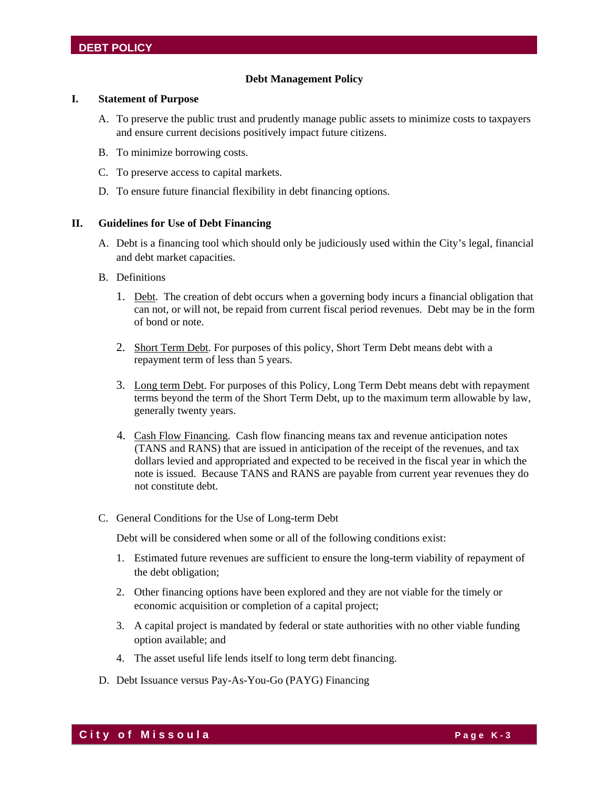#### **Debt Management Policy**

#### **I. Statement of Purpose**

- A. To preserve the public trust and prudently manage public assets to minimize costs to taxpayers and ensure current decisions positively impact future citizens.
- B. To minimize borrowing costs.
- C. To preserve access to capital markets.
- D. To ensure future financial flexibility in debt financing options.

#### **II. Guidelines for Use of Debt Financing**

- A. Debt is a financing tool which should only be judiciously used within the City's legal, financial and debt market capacities.
- B. Definitions
	- 1. Debt. The creation of debt occurs when a governing body incurs a financial obligation that can not, or will not, be repaid from current fiscal period revenues. Debt may be in the form of bond or note.
	- 2. Short Term Debt. For purposes of this policy, Short Term Debt means debt with a repayment term of less than 5 years.
	- 3. Long term Debt. For purposes of this Policy, Long Term Debt means debt with repayment terms beyond the term of the Short Term Debt, up to the maximum term allowable by law, generally twenty years.
	- 4. Cash Flow Financing. Cash flow financing means tax and revenue anticipation notes (TANS and RANS) that are issued in anticipation of the receipt of the revenues, and tax dollars levied and appropriated and expected to be received in the fiscal year in which the note is issued. Because TANS and RANS are payable from current year revenues they do not constitute debt.
- C. General Conditions for the Use of Long-term Debt

Debt will be considered when some or all of the following conditions exist:

- 1. Estimated future revenues are sufficient to ensure the long-term viability of repayment of the debt obligation;
- 2. Other financing options have been explored and they are not viable for the timely or economic acquisition or completion of a capital project;
- 3. A capital project is mandated by federal or state authorities with no other viable funding option available; and
- 4. The asset useful life lends itself to long term debt financing.
- D. Debt Issuance versus Pay-As-You-Go (PAYG) Financing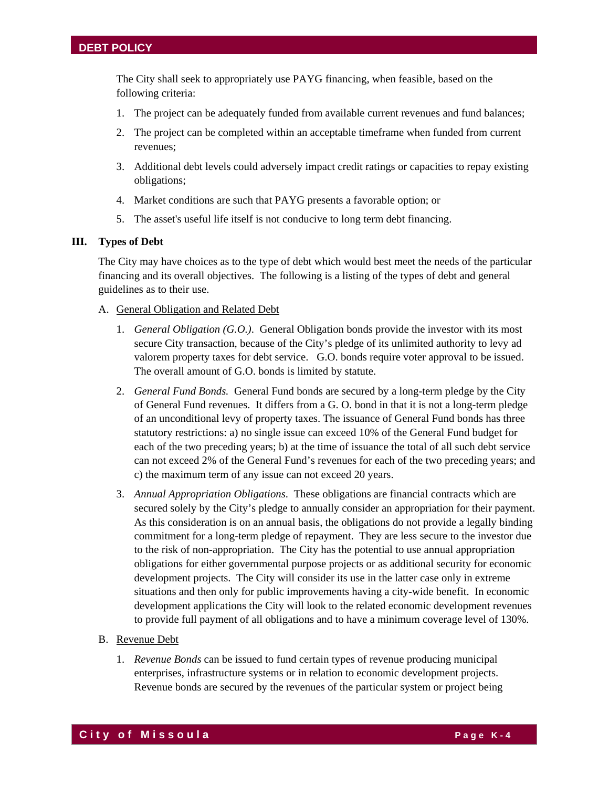The City shall seek to appropriately use PAYG financing, when feasible, based on the following criteria:

- 1. The project can be adequately funded from available current revenues and fund balances;
- 2. The project can be completed within an acceptable timeframe when funded from current revenues;
- 3. Additional debt levels could adversely impact credit ratings or capacities to repay existing obligations;
- 4. Market conditions are such that PAYG presents a favorable option; or
- 5. The asset's useful life itself is not conducive to long term debt financing.

#### **III. Types of Debt**

The City may have choices as to the type of debt which would best meet the needs of the particular financing and its overall objectives. The following is a listing of the types of debt and general guidelines as to their use.

#### A. General Obligation and Related Debt

- 1. *General Obligation (G.O.)*. General Obligation bonds provide the investor with its most secure City transaction, because of the City's pledge of its unlimited authority to levy ad valorem property taxes for debt service. G.O. bonds require voter approval to be issued. The overall amount of G.O. bonds is limited by statute.
- 2. *General Fund Bonds.* General Fund bonds are secured by a long-term pledge by the City of General Fund revenues. It differs from a G. O. bond in that it is not a long-term pledge of an unconditional levy of property taxes. The issuance of General Fund bonds has three statutory restrictions: a) no single issue can exceed 10% of the General Fund budget for each of the two preceding years; b) at the time of issuance the total of all such debt service can not exceed 2% of the General Fund's revenues for each of the two preceding years; and c) the maximum term of any issue can not exceed 20 years.
- 3. *Annual Appropriation Obligations*. These obligations are financial contracts which are secured solely by the City's pledge to annually consider an appropriation for their payment. As this consideration is on an annual basis, the obligations do not provide a legally binding commitment for a long-term pledge of repayment. They are less secure to the investor due to the risk of non-appropriation. The City has the potential to use annual appropriation obligations for either governmental purpose projects or as additional security for economic development projects. The City will consider its use in the latter case only in extreme situations and then only for public improvements having a city-wide benefit. In economic development applications the City will look to the related economic development revenues to provide full payment of all obligations and to have a minimum coverage level of 130%.

#### B. Revenue Debt

1. *Revenue Bonds* can be issued to fund certain types of revenue producing municipal enterprises, infrastructure systems or in relation to economic development projects. Revenue bonds are secured by the revenues of the particular system or project being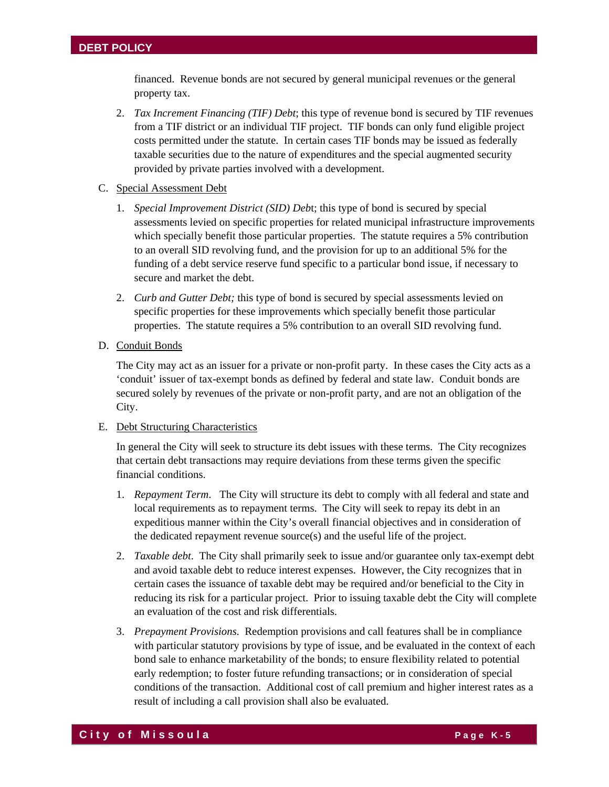financed. Revenue bonds are not secured by general municipal revenues or the general property tax.

- 2. *Tax Increment Financing (TIF) Debt*; this type of revenue bond is secured by TIF revenues from a TIF district or an individual TIF project. TIF bonds can only fund eligible project costs permitted under the statute. In certain cases TIF bonds may be issued as federally taxable securities due to the nature of expenditures and the special augmented security provided by private parties involved with a development.
- C. Special Assessment Debt
	- 1. *Special Improvement District (SID) Deb*t; this type of bond is secured by special assessments levied on specific properties for related municipal infrastructure improvements which specially benefit those particular properties. The statute requires a 5% contribution to an overall SID revolving fund, and the provision for up to an additional 5% for the funding of a debt service reserve fund specific to a particular bond issue, if necessary to secure and market the debt.
	- 2. *Curb and Gutter Debt;* this type of bond is secured by special assessments levied on specific properties for these improvements which specially benefit those particular properties. The statute requires a 5% contribution to an overall SID revolving fund.
- D. Conduit Bonds

The City may act as an issuer for a private or non-profit party. In these cases the City acts as a 'conduit' issuer of tax-exempt bonds as defined by federal and state law. Conduit bonds are secured solely by revenues of the private or non-profit party, and are not an obligation of the City.

#### E. Debt Structuring Characteristics

In general the City will seek to structure its debt issues with these terms. The City recognizes that certain debt transactions may require deviations from these terms given the specific financial conditions.

- 1. *Repayment Term*. The City will structure its debt to comply with all federal and state and local requirements as to repayment terms. The City will seek to repay its debt in an expeditious manner within the City's overall financial objectives and in consideration of the dedicated repayment revenue source(s) and the useful life of the project.
- 2. *Taxable debt*. The City shall primarily seek to issue and/or guarantee only tax-exempt debt and avoid taxable debt to reduce interest expenses. However, the City recognizes that in certain cases the issuance of taxable debt may be required and/or beneficial to the City in reducing its risk for a particular project. Prior to issuing taxable debt the City will complete an evaluation of the cost and risk differentials.
- 3. *Prepayment Provisions*. Redemption provisions and call features shall be in compliance with particular statutory provisions by type of issue, and be evaluated in the context of each bond sale to enhance marketability of the bonds; to ensure flexibility related to potential early redemption; to foster future refunding transactions; or in consideration of special conditions of the transaction. Additional cost of call premium and higher interest rates as a result of including a call provision shall also be evaluated.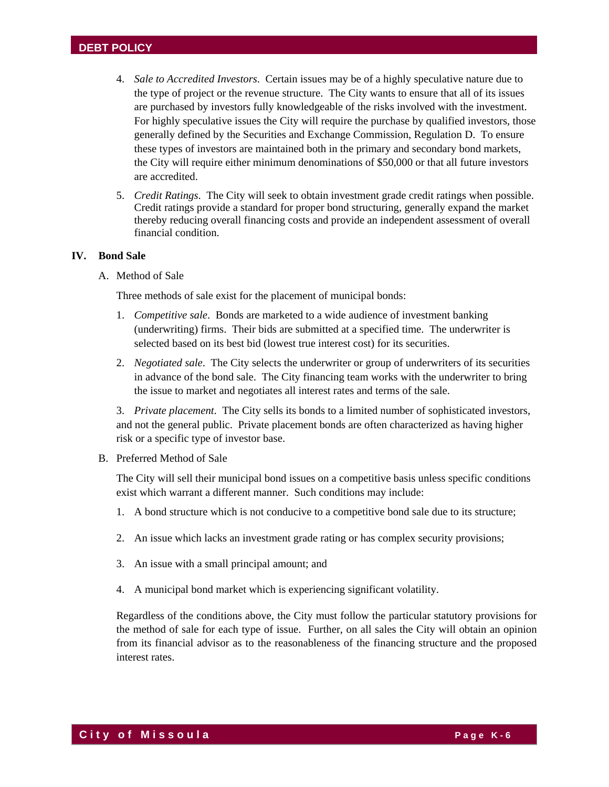- 4. *Sale to Accredited Investors*. Certain issues may be of a highly speculative nature due to the type of project or the revenue structure. The City wants to ensure that all of its issues are purchased by investors fully knowledgeable of the risks involved with the investment. For highly speculative issues the City will require the purchase by qualified investors, those generally defined by the Securities and Exchange Commission, Regulation D. To ensure these types of investors are maintained both in the primary and secondary bond markets, the City will require either minimum denominations of \$50,000 or that all future investors are accredited.
- 5. *Credit Ratings*. The City will seek to obtain investment grade credit ratings when possible. Credit ratings provide a standard for proper bond structuring, generally expand the market thereby reducing overall financing costs and provide an independent assessment of overall financial condition.

#### **IV. Bond Sale**

A. Method of Sale

Three methods of sale exist for the placement of municipal bonds:

- 1. *Competitive sale*. Bonds are marketed to a wide audience of investment banking (underwriting) firms. Their bids are submitted at a specified time. The underwriter is selected based on its best bid (lowest true interest cost) for its securities.
- 2. *Negotiated sale*. The City selects the underwriter or group of underwriters of its securities in advance of the bond sale. The City financing team works with the underwriter to bring the issue to market and negotiates all interest rates and terms of the sale.

3. *Private placement*. The City sells its bonds to a limited number of sophisticated investors, and not the general public. Private placement bonds are often characterized as having higher risk or a specific type of investor base.

B. Preferred Method of Sale

The City will sell their municipal bond issues on a competitive basis unless specific conditions exist which warrant a different manner. Such conditions may include:

- 1. A bond structure which is not conducive to a competitive bond sale due to its structure;
- 2. An issue which lacks an investment grade rating or has complex security provisions;
- 3. An issue with a small principal amount; and
- 4. A municipal bond market which is experiencing significant volatility.

Regardless of the conditions above, the City must follow the particular statutory provisions for the method of sale for each type of issue. Further, on all sales the City will obtain an opinion from its financial advisor as to the reasonableness of the financing structure and the proposed interest rates.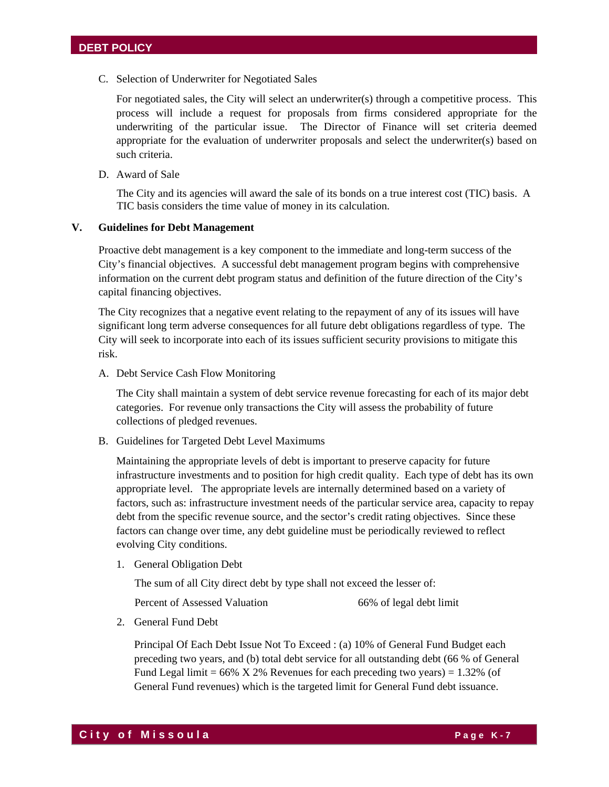C. Selection of Underwriter for Negotiated Sales

For negotiated sales, the City will select an underwriter(s) through a competitive process. This process will include a request for proposals from firms considered appropriate for the underwriting of the particular issue. The Director of Finance will set criteria deemed appropriate for the evaluation of underwriter proposals and select the underwriter(s) based on such criteria.

D. Award of Sale

The City and its agencies will award the sale of its bonds on a true interest cost (TIC) basis. A TIC basis considers the time value of money in its calculation.

#### **V. Guidelines for Debt Management**

Proactive debt management is a key component to the immediate and long-term success of the City's financial objectives. A successful debt management program begins with comprehensive information on the current debt program status and definition of the future direction of the City's capital financing objectives.

The City recognizes that a negative event relating to the repayment of any of its issues will have significant long term adverse consequences for all future debt obligations regardless of type. The City will seek to incorporate into each of its issues sufficient security provisions to mitigate this risk.

A. Debt Service Cash Flow Monitoring

The City shall maintain a system of debt service revenue forecasting for each of its major debt categories. For revenue only transactions the City will assess the probability of future collections of pledged revenues.

B. Guidelines for Targeted Debt Level Maximums

Maintaining the appropriate levels of debt is important to preserve capacity for future infrastructure investments and to position for high credit quality. Each type of debt has its own appropriate level. The appropriate levels are internally determined based on a variety of factors, such as: infrastructure investment needs of the particular service area, capacity to repay debt from the specific revenue source, and the sector's credit rating objectives. Since these factors can change over time, any debt guideline must be periodically reviewed to reflect evolving City conditions.

1. General Obligation Debt

The sum of all City direct debt by type shall not exceed the lesser of:

Percent of Assessed Valuation 66% of legal debt limit

2. General Fund Debt

Principal Of Each Debt Issue Not To Exceed : (a) 10% of General Fund Budget each preceding two years, and (b) total debt service for all outstanding debt (66 % of General Fund Legal limit =  $66\%$  X 2% Revenues for each preceding two years) = 1.32% (of General Fund revenues) which is the targeted limit for General Fund debt issuance.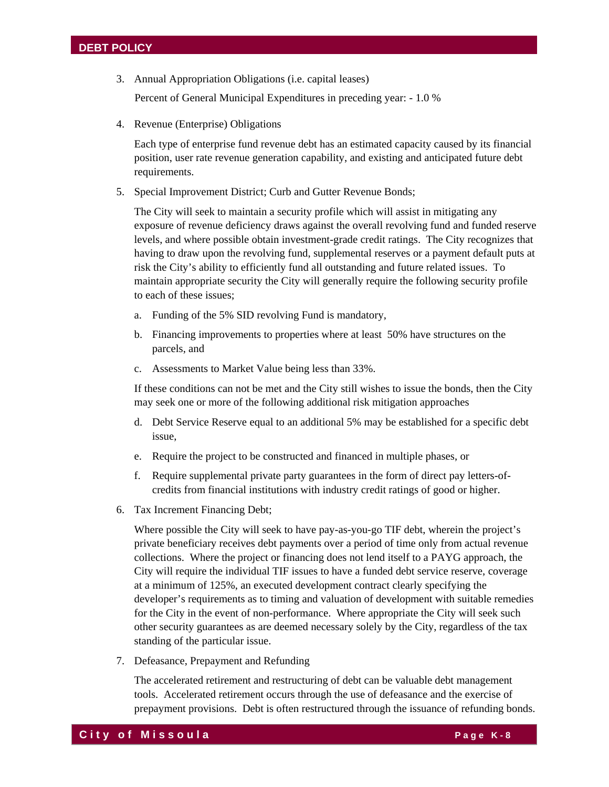3. Annual Appropriation Obligations (i.e. capital leases)

Percent of General Municipal Expenditures in preceding year: - 1.0 %

4. Revenue (Enterprise) Obligations

Each type of enterprise fund revenue debt has an estimated capacity caused by its financial position, user rate revenue generation capability, and existing and anticipated future debt requirements.

5. Special Improvement District; Curb and Gutter Revenue Bonds;

The City will seek to maintain a security profile which will assist in mitigating any exposure of revenue deficiency draws against the overall revolving fund and funded reserve levels, and where possible obtain investment-grade credit ratings. The City recognizes that having to draw upon the revolving fund, supplemental reserves or a payment default puts at risk the City's ability to efficiently fund all outstanding and future related issues. To maintain appropriate security the City will generally require the following security profile to each of these issues;

- a. Funding of the 5% SID revolving Fund is mandatory,
- b. Financing improvements to properties where at least 50% have structures on the parcels, and
- c. Assessments to Market Value being less than 33%.

If these conditions can not be met and the City still wishes to issue the bonds, then the City may seek one or more of the following additional risk mitigation approaches

- d. Debt Service Reserve equal to an additional 5% may be established for a specific debt issue,
- e. Require the project to be constructed and financed in multiple phases, or
- f. Require supplemental private party guarantees in the form of direct pay letters-ofcredits from financial institutions with industry credit ratings of good or higher.
- 6. Tax Increment Financing Debt;

Where possible the City will seek to have pay-as-you-go TIF debt, wherein the project's private beneficiary receives debt payments over a period of time only from actual revenue collections. Where the project or financing does not lend itself to a PAYG approach, the City will require the individual TIF issues to have a funded debt service reserve, coverage at a minimum of 125%, an executed development contract clearly specifying the developer's requirements as to timing and valuation of development with suitable remedies for the City in the event of non-performance. Where appropriate the City will seek such other security guarantees as are deemed necessary solely by the City, regardless of the tax standing of the particular issue.

7. Defeasance, Prepayment and Refunding

The accelerated retirement and restructuring of debt can be valuable debt management tools. Accelerated retirement occurs through the use of defeasance and the exercise of prepayment provisions. Debt is often restructured through the issuance of refunding bonds.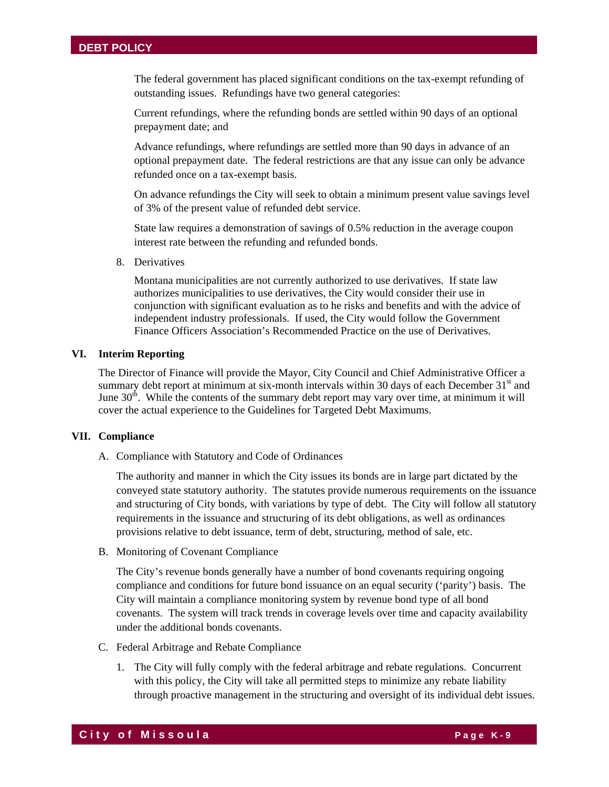The federal government has placed significant conditions on the tax-exempt refunding of outstanding issues. Refundings have two general categories:

Current refundings, where the refunding bonds are settled within 90 days of an optional prepayment date; and

Advance refundings, where refundings are settled more than 90 days in advance of an optional prepayment date. The federal restrictions are that any issue can only be advance refunded once on a tax-exempt basis.

On advance refundings the City will seek to obtain a minimum present value savings level of 3% of the present value of refunded debt service.

State law requires a demonstration of savings of 0.5% reduction in the average coupon interest rate between the refunding and refunded bonds.

8. Derivatives

Montana municipalities are not currently authorized to use derivatives. If state law authorizes municipalities to use derivatives, the City would consider their use in conjunction with significant evaluation as to he risks and benefits and with the advice of independent industry professionals. If used, the City would follow the Government Finance Officers Association's Recommended Practice on the use of Derivatives.

#### **VI. Interim Reporting**

The Director of Finance will provide the Mayor, City Council and Chief Administrative Officer a summary debt report at minimum at six-month intervals within 30 days of each December  $31<sup>st</sup>$  and June  $30<sup>th</sup>$ . While the contents of the summary debt report may vary over time, at minimum it will cover the actual experience to the Guidelines for Targeted Debt Maximums.

#### **VII. Compliance**

A. Compliance with Statutory and Code of Ordinances

The authority and manner in which the City issues its bonds are in large part dictated by the conveyed state statutory authority. The statutes provide numerous requirements on the issuance and structuring of City bonds, with variations by type of debt. The City will follow all statutory requirements in the issuance and structuring of its debt obligations, as well as ordinances provisions relative to debt issuance, term of debt, structuring, method of sale, etc.

B. Monitoring of Covenant Compliance

The City's revenue bonds generally have a number of bond covenants requiring ongoing compliance and conditions for future bond issuance on an equal security ('parity') basis. The City will maintain a compliance monitoring system by revenue bond type of all bond covenants. The system will track trends in coverage levels over time and capacity availability under the additional bonds covenants.

- C. Federal Arbitrage and Rebate Compliance
	- 1. The City will fully comply with the federal arbitrage and rebate regulations. Concurrent with this policy, the City will take all permitted steps to minimize any rebate liability through proactive management in the structuring and oversight of its individual debt issues.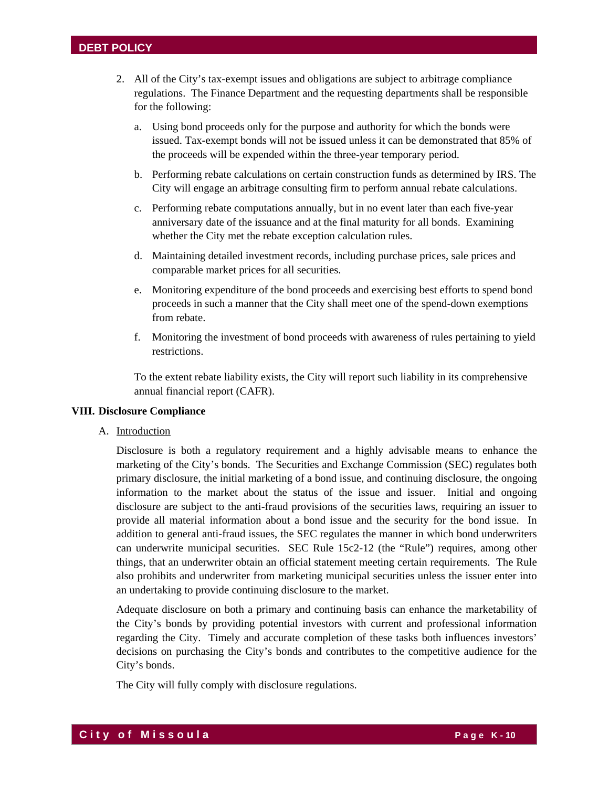- 2. All of the City's tax-exempt issues and obligations are subject to arbitrage compliance regulations. The Finance Department and the requesting departments shall be responsible for the following:
	- a. Using bond proceeds only for the purpose and authority for which the bonds were issued. Tax-exempt bonds will not be issued unless it can be demonstrated that 85% of the proceeds will be expended within the three-year temporary period.
	- b. Performing rebate calculations on certain construction funds as determined by IRS. The City will engage an arbitrage consulting firm to perform annual rebate calculations.
	- c. Performing rebate computations annually, but in no event later than each five-year anniversary date of the issuance and at the final maturity for all bonds. Examining whether the City met the rebate exception calculation rules.
	- d. Maintaining detailed investment records, including purchase prices, sale prices and comparable market prices for all securities.
	- e. Monitoring expenditure of the bond proceeds and exercising best efforts to spend bond proceeds in such a manner that the City shall meet one of the spend-down exemptions from rebate.
	- f. Monitoring the investment of bond proceeds with awareness of rules pertaining to yield restrictions.

To the extent rebate liability exists, the City will report such liability in its comprehensive annual financial report (CAFR).

#### **VIII. Disclosure Compliance**

A. Introduction

Disclosure is both a regulatory requirement and a highly advisable means to enhance the marketing of the City's bonds. The Securities and Exchange Commission (SEC) regulates both primary disclosure, the initial marketing of a bond issue, and continuing disclosure, the ongoing information to the market about the status of the issue and issuer. Initial and ongoing disclosure are subject to the anti-fraud provisions of the securities laws, requiring an issuer to provide all material information about a bond issue and the security for the bond issue. In addition to general anti-fraud issues, the SEC regulates the manner in which bond underwriters can underwrite municipal securities. SEC Rule 15c2-12 (the "Rule") requires, among other things, that an underwriter obtain an official statement meeting certain requirements. The Rule also prohibits and underwriter from marketing municipal securities unless the issuer enter into an undertaking to provide continuing disclosure to the market.

Adequate disclosure on both a primary and continuing basis can enhance the marketability of the City's bonds by providing potential investors with current and professional information regarding the City. Timely and accurate completion of these tasks both influences investors' decisions on purchasing the City's bonds and contributes to the competitive audience for the City's bonds.

The City will fully comply with disclosure regulations.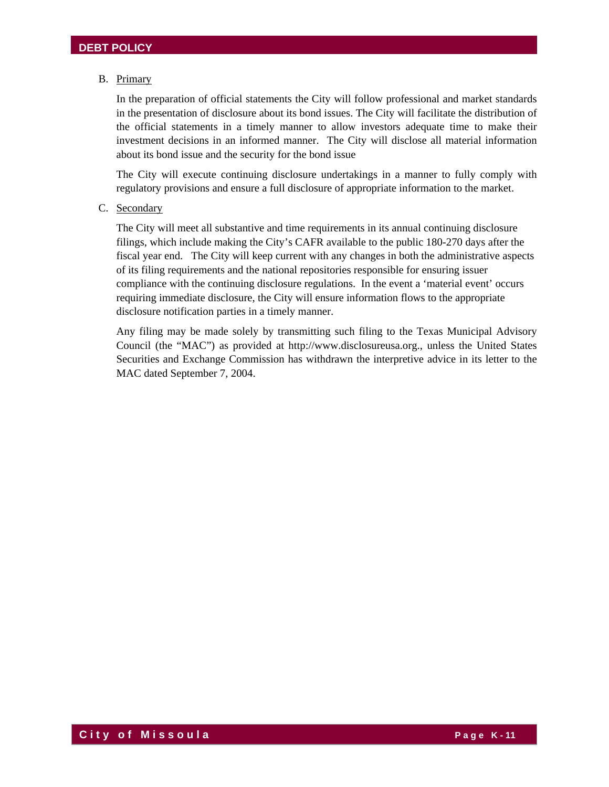# B. Primary

In the preparation of official statements the City will follow professional and market standards in the presentation of disclosure about its bond issues. The City will facilitate the distribution of the official statements in a timely manner to allow investors adequate time to make their investment decisions in an informed manner. The City will disclose all material information about its bond issue and the security for the bond issue

The City will execute continuing disclosure undertakings in a manner to fully comply with regulatory provisions and ensure a full disclosure of appropriate information to the market.

C. Secondary

The City will meet all substantive and time requirements in its annual continuing disclosure filings, which include making the City's CAFR available to the public 180-270 days after the fiscal year end. The City will keep current with any changes in both the administrative aspects of its filing requirements and the national repositories responsible for ensuring issuer compliance with the continuing disclosure regulations. In the event a 'material event' occurs requiring immediate disclosure, the City will ensure information flows to the appropriate disclosure notification parties in a timely manner.

Any filing may be made solely by transmitting such filing to the Texas Municipal Advisory Council (the "MAC") as provided at http://www.disclosureusa.org., unless the United States Securities and Exchange Commission has withdrawn the interpretive advice in its letter to the MAC dated September 7, 2004.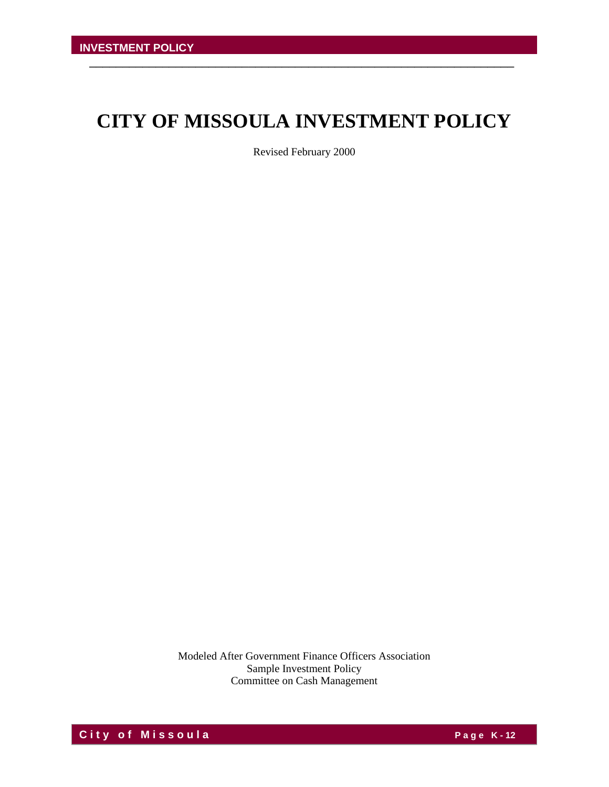# **CITY OF MISSOULA INVESTMENT POLICY**

\_\_\_\_\_\_\_\_\_\_\_\_\_\_\_\_\_\_\_\_\_\_\_\_\_\_\_\_\_\_\_\_\_\_\_\_\_\_\_\_\_\_\_\_\_\_\_\_\_\_\_\_\_\_\_\_\_\_\_\_\_\_\_\_

Revised February 2000

Modeled After Government Finance Officers Association Sample Investment Policy Committee on Cash Management

**C** it y of M issoula **C** if y and the Page K-12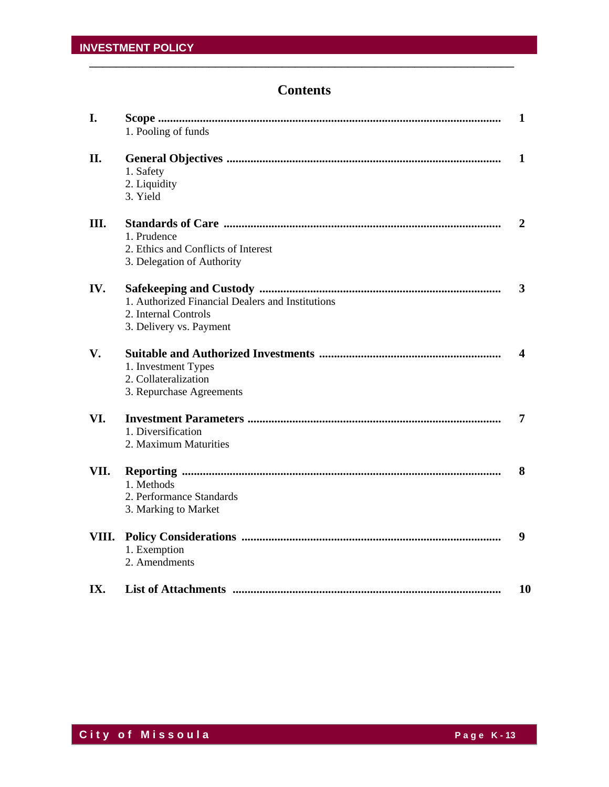# **Contents**

| I.    | 1. Pooling of funds                                                                                 | 1  |
|-------|-----------------------------------------------------------------------------------------------------|----|
| II.   | 1. Safety<br>2. Liquidity<br>3. Yield                                                               | 1  |
| Ш.    | 1. Prudence<br>2. Ethics and Conflicts of Interest<br>3. Delegation of Authority                    | 2  |
| IV.   | 1. Authorized Financial Dealers and Institutions<br>2. Internal Controls<br>3. Delivery vs. Payment | 3  |
| V.    | 1. Investment Types<br>2. Collateralization<br>3. Repurchase Agreements                             | 4  |
| VI.   | 1. Diversification<br>2. Maximum Maturities                                                         | 7  |
| VII.  | 1. Methods<br>2. Performance Standards<br>3. Marking to Market                                      | 8  |
| VIII. | 1. Exemption<br>2. Amendments                                                                       | 9  |
| IX.   |                                                                                                     | 10 |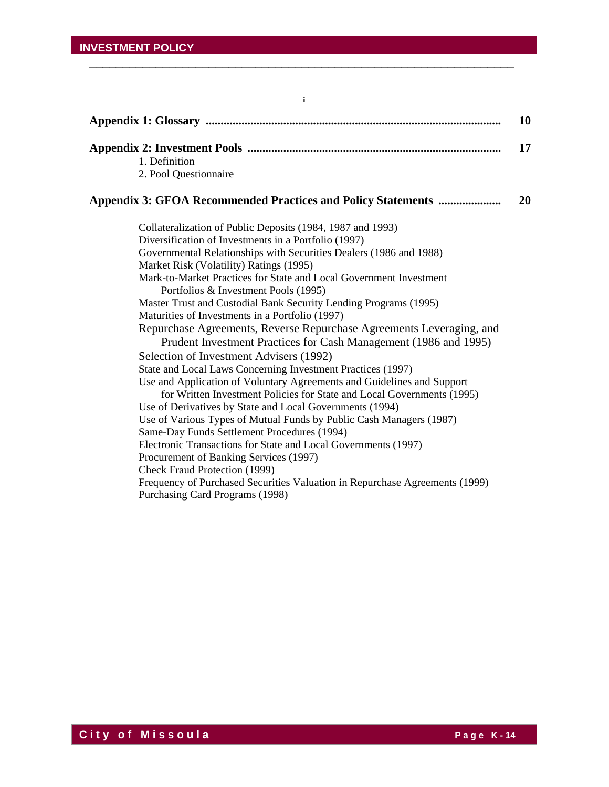|                                                                                                                                                                                                                                                                                                                                                                                                                                                                                                                                                                                                                                                                                                                                                                                                                                                                                                                                                                                                                                                                                                                                                                                                                                                                                                                                     | 10 |
|-------------------------------------------------------------------------------------------------------------------------------------------------------------------------------------------------------------------------------------------------------------------------------------------------------------------------------------------------------------------------------------------------------------------------------------------------------------------------------------------------------------------------------------------------------------------------------------------------------------------------------------------------------------------------------------------------------------------------------------------------------------------------------------------------------------------------------------------------------------------------------------------------------------------------------------------------------------------------------------------------------------------------------------------------------------------------------------------------------------------------------------------------------------------------------------------------------------------------------------------------------------------------------------------------------------------------------------|----|
| 1. Definition<br>2. Pool Questionnaire                                                                                                                                                                                                                                                                                                                                                                                                                                                                                                                                                                                                                                                                                                                                                                                                                                                                                                                                                                                                                                                                                                                                                                                                                                                                                              | 17 |
| Appendix 3: GFOA Recommended Practices and Policy Statements                                                                                                                                                                                                                                                                                                                                                                                                                                                                                                                                                                                                                                                                                                                                                                                                                                                                                                                                                                                                                                                                                                                                                                                                                                                                        | 20 |
| Collateralization of Public Deposits (1984, 1987 and 1993)<br>Diversification of Investments in a Portfolio (1997)<br>Governmental Relationships with Securities Dealers (1986 and 1988)<br>Market Risk (Volatility) Ratings (1995)<br>Mark-to-Market Practices for State and Local Government Investment<br>Portfolios & Investment Pools (1995)<br>Master Trust and Custodial Bank Security Lending Programs (1995)<br>Maturities of Investments in a Portfolio (1997)<br>Repurchase Agreements, Reverse Repurchase Agreements Leveraging, and<br>Prudent Investment Practices for Cash Management (1986 and 1995)<br>Selection of Investment Advisers (1992)<br>State and Local Laws Concerning Investment Practices (1997)<br>Use and Application of Voluntary Agreements and Guidelines and Support<br>for Written Investment Policies for State and Local Governments (1995)<br>Use of Derivatives by State and Local Governments (1994)<br>Use of Various Types of Mutual Funds by Public Cash Managers (1987)<br>Same-Day Funds Settlement Procedures (1994)<br>Electronic Transactions for State and Local Governments (1997)<br>Procurement of Banking Services (1997)<br>Check Fraud Protection (1999)<br>Frequency of Purchased Securities Valuation in Repurchase Agreements (1999)<br>Purchasing Card Programs (1998) |    |

\_\_\_\_\_\_\_\_\_\_\_\_\_\_\_\_\_\_\_\_\_\_\_\_\_\_\_\_\_\_\_\_\_\_\_\_\_\_\_\_\_\_\_\_\_\_\_\_\_\_\_\_\_\_\_\_\_\_\_\_\_\_\_\_

**i**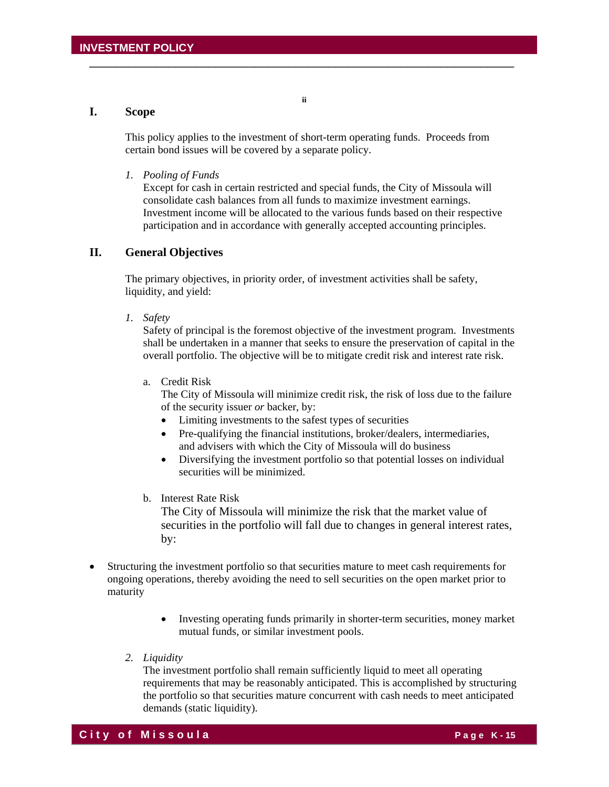# **I. Scope**

This policy applies to the investment of short-term operating funds. Proceeds from certain bond issues will be covered by a separate policy.

\_\_\_\_\_\_\_\_\_\_\_\_\_\_\_\_\_\_\_\_\_\_\_\_\_\_\_\_\_\_\_\_\_\_\_\_\_\_\_\_\_\_\_\_\_\_\_\_\_\_\_\_\_\_\_\_\_\_\_\_\_\_\_\_

**ii** 

#### *1. Pooling of Funds*

Except for cash in certain restricted and special funds, the City of Missoula will consolidate cash balances from all funds to maximize investment earnings. Investment income will be allocated to the various funds based on their respective participation and in accordance with generally accepted accounting principles.

### **II. General Objectives**

 The primary objectives, in priority order, of investment activities shall be safety, liquidity, and yield:

 *1. Safety* 

Safety of principal is the foremost objective of the investment program. Investments shall be undertaken in a manner that seeks to ensure the preservation of capital in the overall portfolio. The objective will be to mitigate credit risk and interest rate risk.

a. Credit Risk

 The City of Missoula will minimize credit risk, the risk of loss due to the failure of the security issuer *or* backer, by:

- Limiting investments to the safest types of securities
- Pre-qualifying the financial institutions, broker/dealers, intermediaries, and advisers with which the City of Missoula will do business
- Diversifying the investment portfolio so that potential losses on individual securities will be minimized.
- b. Interest Rate Risk

 The City of Missoula will minimize the risk that the market value of securities in the portfolio will fall due to changes in general interest rates, by:

- Structuring the investment portfolio so that securities mature to meet cash requirements for ongoing operations, thereby avoiding the need to sell securities on the open market prior to maturity
	- Investing operating funds primarily in shorter-term securities, money market mutual funds, or similar investment pools.
	- *2. Liquidity*

The investment portfolio shall remain sufficiently liquid to meet all operating requirements that may be reasonably anticipated. This is accomplished by structuring the portfolio so that securities mature concurrent with cash needs to meet anticipated demands (static liquidity).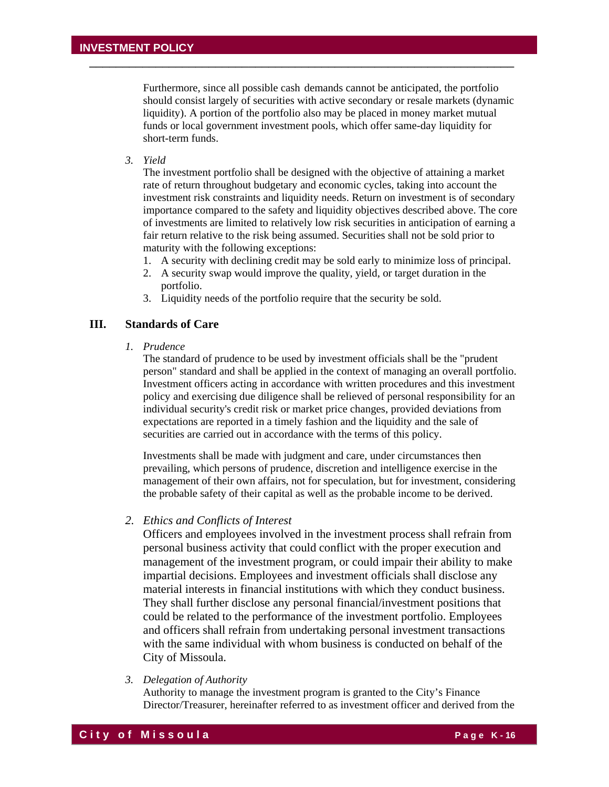Furthermore, since all possible cash demands cannot be anticipated, the portfolio should consist largely of securities with active secondary or resale markets (dynamic liquidity). A portion of the portfolio also may be placed in money market mutual funds or local government investment pools, which offer same-day liquidity for short-term funds.

\_\_\_\_\_\_\_\_\_\_\_\_\_\_\_\_\_\_\_\_\_\_\_\_\_\_\_\_\_\_\_\_\_\_\_\_\_\_\_\_\_\_\_\_\_\_\_\_\_\_\_\_\_\_\_\_\_\_\_\_\_\_\_\_

*3. Yield* 

The investment portfolio shall be designed with the objective of attaining a market rate of return throughout budgetary and economic cycles, taking into account the investment risk constraints and liquidity needs. Return on investment is of secondary importance compared to the safety and liquidity objectives described above. The core of investments are limited to relatively low risk securities in anticipation of earning a fair return relative to the risk being assumed. Securities shall not be sold prior to maturity with the following exceptions:

- 1. A security with declining credit may be sold early to minimize loss of principal.
- 2. A security swap would improve the quality, yield, or target duration in the portfolio.
- 3. Liquidity needs of the portfolio require that the security be sold.

# **III. Standards of Care**

 *1. Prudence* 

The standard of prudence to be used by investment officials shall be the "prudent person" standard and shall be applied in the context of managing an overall portfolio. Investment officers acting in accordance with written procedures and this investment policy and exercising due diligence shall be relieved of personal responsibility for an individual security's credit risk or market price changes, provided deviations from expectations are reported in a timely fashion and the liquidity and the sale of securities are carried out in accordance with the terms of this policy.

Investments shall be made with judgment and care, under circumstances then prevailing, which persons of prudence, discretion and intelligence exercise in the management of their own affairs, not for speculation, but for investment, considering the probable safety of their capital as well as the probable income to be derived.

#### *2. Ethics and Conflicts of Interest*

Officers and employees involved in the investment process shall refrain from personal business activity that could conflict with the proper execution and management of the investment program, or could impair their ability to make impartial decisions. Employees and investment officials shall disclose any material interests in financial institutions with which they conduct business. They shall further disclose any personal financial/investment positions that could be related to the performance of the investment portfolio. Employees and officers shall refrain from undertaking personal investment transactions with the same individual with whom business is conducted on behalf of the City of Missoula.

*3. Delegation of Authority* 

Authority to manage the investment program is granted to the City's Finance Director/Treasurer, hereinafter referred to as investment officer and derived from the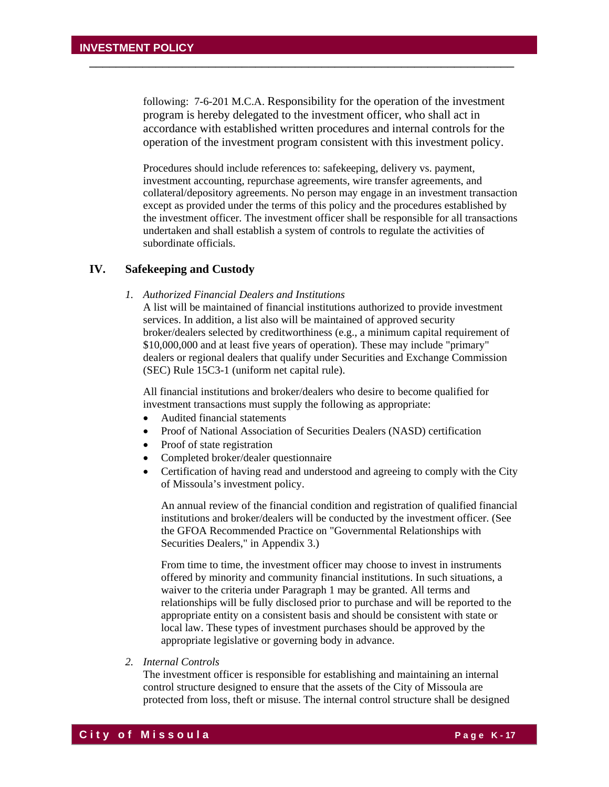following: 7-6-201 M.C.A. Responsibility for the operation of the investment program is hereby delegated to the investment officer, who shall act in accordance with established written procedures and internal controls for the operation of the investment program consistent with this investment policy.

\_\_\_\_\_\_\_\_\_\_\_\_\_\_\_\_\_\_\_\_\_\_\_\_\_\_\_\_\_\_\_\_\_\_\_\_\_\_\_\_\_\_\_\_\_\_\_\_\_\_\_\_\_\_\_\_\_\_\_\_\_\_\_\_

Procedures should include references to: safekeeping, delivery vs. payment, investment accounting, repurchase agreements, wire transfer agreements, and collateral/depository agreements. No person may engage in an investment transaction except as provided under the terms of this policy and the procedures established by the investment officer. The investment officer shall be responsible for all transactions undertaken and shall establish a system of controls to regulate the activities of subordinate officials.

### **IV. Safekeeping and Custody**

*1. Authorized Financial Dealers and Institutions* 

A list will be maintained of financial institutions authorized to provide investment services. In addition, a list also will be maintained of approved security broker/dealers selected by creditworthiness (e.g., a minimum capital requirement of \$10,000,000 and at least five years of operation). These may include "primary" dealers or regional dealers that qualify under Securities and Exchange Commission (SEC) Rule 15C3-1 (uniform net capital rule).

All financial institutions and broker/dealers who desire to become qualified for investment transactions must supply the following as appropriate:

- Audited financial statements
- Proof of National Association of Securities Dealers (NASD) certification
- Proof of state registration
- Completed broker/dealer questionnaire
- Certification of having read and understood and agreeing to comply with the City of Missoula's investment policy.

An annual review of the financial condition and registration of qualified financial institutions and broker/dealers will be conducted by the investment officer. (See the GFOA Recommended Practice on "Governmental Relationships with Securities Dealers," in Appendix 3.)

From time to time, the investment officer may choose to invest in instruments offered by minority and community financial institutions. In such situations, a waiver to the criteria under Paragraph 1 may be granted. All terms and relationships will be fully disclosed prior to purchase and will be reported to the appropriate entity on a consistent basis and should be consistent with state or local law. These types of investment purchases should be approved by the appropriate legislative or governing body in advance.

 *2. Internal Controls* 

The investment officer is responsible for establishing and maintaining an internal control structure designed to ensure that the assets of the City of Missoula are protected from loss, theft or misuse. The internal control structure shall be designed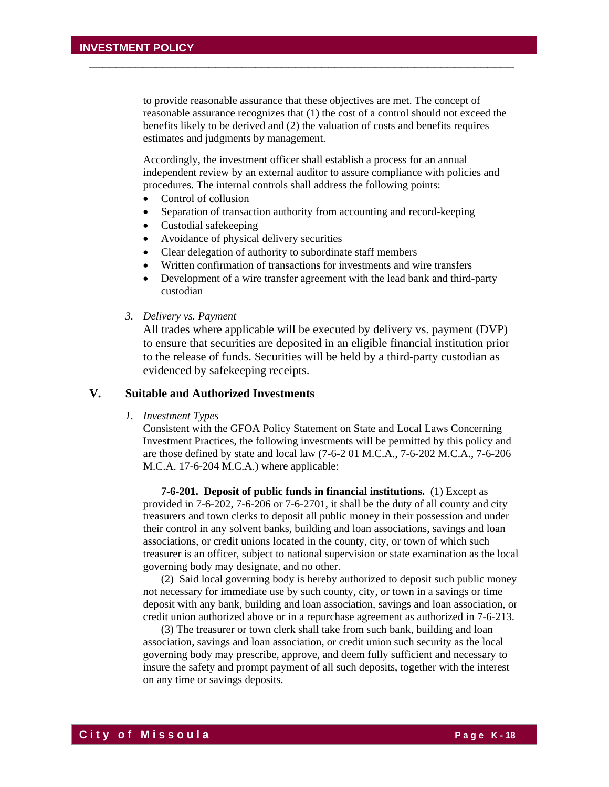to provide reasonable assurance that these objectives are met. The concept of reasonable assurance recognizes that (1) the cost of a control should not exceed the benefits likely to be derived and (2) the valuation of costs and benefits requires estimates and judgments by management.

\_\_\_\_\_\_\_\_\_\_\_\_\_\_\_\_\_\_\_\_\_\_\_\_\_\_\_\_\_\_\_\_\_\_\_\_\_\_\_\_\_\_\_\_\_\_\_\_\_\_\_\_\_\_\_\_\_\_\_\_\_\_\_\_

Accordingly, the investment officer shall establish a process for an annual independent review by an external auditor to assure compliance with policies and procedures. The internal controls shall address the following points:

- Control of collusion
- Separation of transaction authority from accounting and record-keeping
- Custodial safekeeping
- Avoidance of physical delivery securities
- Clear delegation of authority to subordinate staff members
- Written confirmation of transactions for investments and wire transfers
- Development of a wire transfer agreement with the lead bank and third-party custodian
- *3. Delivery vs. Payment*

All trades where applicable will be executed by delivery vs. payment (DVP) to ensure that securities are deposited in an eligible financial institution prior to the release of funds. Securities will be held by a third-party custodian as evidenced by safekeeping receipts.

## **V. Suitable and Authorized Investments**

 *1. Investment Types* 

Consistent with the GFOA Policy Statement on State and Local Laws Concerning Investment Practices, the following investments will be permitted by this policy and are those defined by state and local law (7-6-2 01 M.C.A., 7-6-202 M.C.A., 7-6-206 M.C.A. 17-6-204 M.C.A.) where applicable:

 **7-6-201. Deposit of public funds in financial institutions.** (1) Except as provided in 7-6-202, 7-6-206 or 7-6-2701, it shall be the duty of all county and city treasurers and town clerks to deposit all public money in their possession and under their control in any solvent banks, building and loan associations, savings and loan associations, or credit unions located in the county, city, or town of which such treasurer is an officer, subject to national supervision or state examination as the local governing body may designate, and no other.

 (2) Said local governing body is hereby authorized to deposit such public money not necessary for immediate use by such county, city, or town in a savings or time deposit with any bank, building and loan association, savings and loan association, or credit union authorized above or in a repurchase agreement as authorized in 7-6-213.

 (3) The treasurer or town clerk shall take from such bank, building and loan association, savings and loan association, or credit union such security as the local governing body may prescribe, approve, and deem fully sufficient and necessary to insure the safety and prompt payment of all such deposits, together with the interest on any time or savings deposits.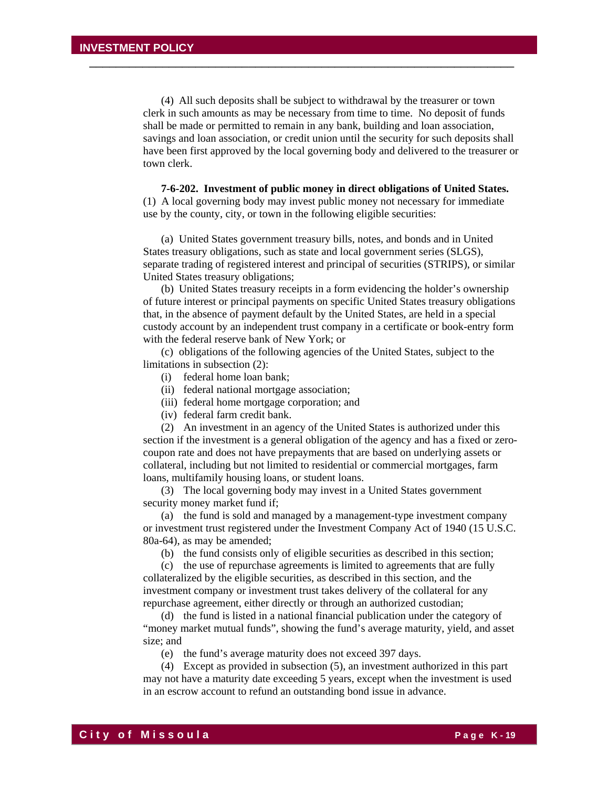(4) All such deposits shall be subject to withdrawal by the treasurer or town clerk in such amounts as may be necessary from time to time. No deposit of funds shall be made or permitted to remain in any bank, building and loan association, savings and loan association, or credit union until the security for such deposits shall have been first approved by the local governing body and delivered to the treasurer or town clerk.

\_\_\_\_\_\_\_\_\_\_\_\_\_\_\_\_\_\_\_\_\_\_\_\_\_\_\_\_\_\_\_\_\_\_\_\_\_\_\_\_\_\_\_\_\_\_\_\_\_\_\_\_\_\_\_\_\_\_\_\_\_\_\_\_

**7-6-202. Investment of public money in direct obligations of United States.**  (1) A local governing body may invest public money not necessary for immediate use by the county, city, or town in the following eligible securities:

 (a) United States government treasury bills, notes, and bonds and in United States treasury obligations, such as state and local government series (SLGS), separate trading of registered interest and principal of securities (STRIPS), or similar United States treasury obligations;

 (b) United States treasury receipts in a form evidencing the holder's ownership of future interest or principal payments on specific United States treasury obligations that, in the absence of payment default by the United States, are held in a special custody account by an independent trust company in a certificate or book-entry form with the federal reserve bank of New York; or

 (c) obligations of the following agencies of the United States, subject to the limitations in subsection (2):

- (i) federal home loan bank;
- (ii) federal national mortgage association;
- (iii) federal home mortgage corporation; and
- (iv) federal farm credit bank.

 (2) An investment in an agency of the United States is authorized under this section if the investment is a general obligation of the agency and has a fixed or zerocoupon rate and does not have prepayments that are based on underlying assets or collateral, including but not limited to residential or commercial mortgages, farm loans, multifamily housing loans, or student loans.

 (3) The local governing body may invest in a United States government security money market fund if;

 (a) the fund is sold and managed by a management-type investment company or investment trust registered under the Investment Company Act of 1940 (15 U.S.C. 80a-64), as may be amended;

(b) the fund consists only of eligible securities as described in this section;

 (c) the use of repurchase agreements is limited to agreements that are fully collateralized by the eligible securities, as described in this section, and the investment company or investment trust takes delivery of the collateral for any repurchase agreement, either directly or through an authorized custodian;

 (d) the fund is listed in a national financial publication under the category of "money market mutual funds", showing the fund's average maturity, yield, and asset size; and

(e) the fund's average maturity does not exceed 397 days.

 (4) Except as provided in subsection (5), an investment authorized in this part may not have a maturity date exceeding 5 years, except when the investment is used in an escrow account to refund an outstanding bond issue in advance.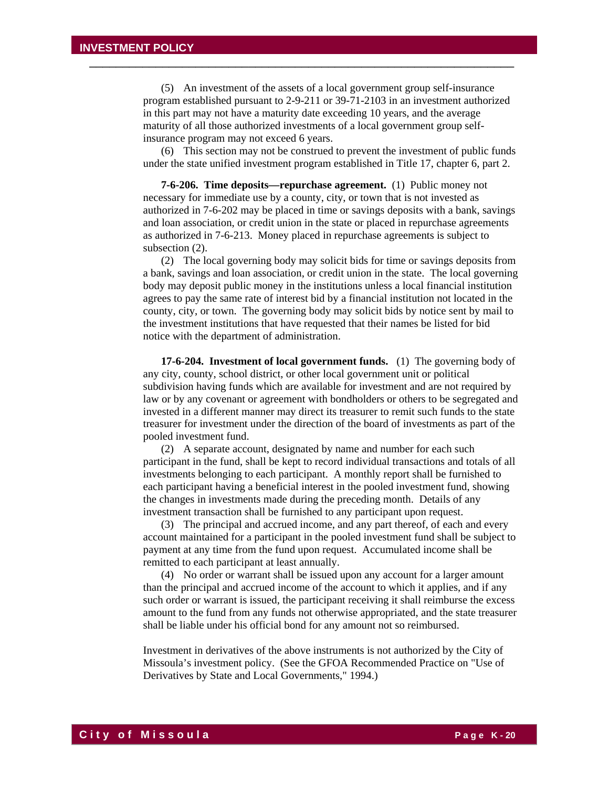(5) An investment of the assets of a local government group self-insurance program established pursuant to 2-9-211 or 39-71-2103 in an investment authorized in this part may not have a maturity date exceeding 10 years, and the average maturity of all those authorized investments of a local government group selfinsurance program may not exceed 6 years.

\_\_\_\_\_\_\_\_\_\_\_\_\_\_\_\_\_\_\_\_\_\_\_\_\_\_\_\_\_\_\_\_\_\_\_\_\_\_\_\_\_\_\_\_\_\_\_\_\_\_\_\_\_\_\_\_\_\_\_\_\_\_\_\_

 (6) This section may not be construed to prevent the investment of public funds under the state unified investment program established in Title 17, chapter 6, part 2.

**7-6-206. Time deposits—repurchase agreement.** (1) Public money not necessary for immediate use by a county, city, or town that is not invested as authorized in 7-6-202 may be placed in time or savings deposits with a bank, savings and loan association, or credit union in the state or placed in repurchase agreements as authorized in 7-6-213. Money placed in repurchase agreements is subject to subsection (2).

 (2) The local governing body may solicit bids for time or savings deposits from a bank, savings and loan association, or credit union in the state. The local governing body may deposit public money in the institutions unless a local financial institution agrees to pay the same rate of interest bid by a financial institution not located in the county, city, or town. The governing body may solicit bids by notice sent by mail to the investment institutions that have requested that their names be listed for bid notice with the department of administration.

 **17-6-204. Investment of local government funds.** (1) The governing body of any city, county, school district, or other local government unit or political subdivision having funds which are available for investment and are not required by law or by any covenant or agreement with bondholders or others to be segregated and invested in a different manner may direct its treasurer to remit such funds to the state treasurer for investment under the direction of the board of investments as part of the pooled investment fund.

 (2) A separate account, designated by name and number for each such participant in the fund, shall be kept to record individual transactions and totals of all investments belonging to each participant. A monthly report shall be furnished to each participant having a beneficial interest in the pooled investment fund, showing the changes in investments made during the preceding month. Details of any investment transaction shall be furnished to any participant upon request.

 (3) The principal and accrued income, and any part thereof, of each and every account maintained for a participant in the pooled investment fund shall be subject to payment at any time from the fund upon request. Accumulated income shall be remitted to each participant at least annually.

 (4) No order or warrant shall be issued upon any account for a larger amount than the principal and accrued income of the account to which it applies, and if any such order or warrant is issued, the participant receiving it shall reimburse the excess amount to the fund from any funds not otherwise appropriated, and the state treasurer shall be liable under his official bond for any amount not so reimbursed.

Investment in derivatives of the above instruments is not authorized by the City of Missoula's investment policy. (See the GFOA Recommended Practice on "Use of Derivatives by State and Local Governments," 1994.)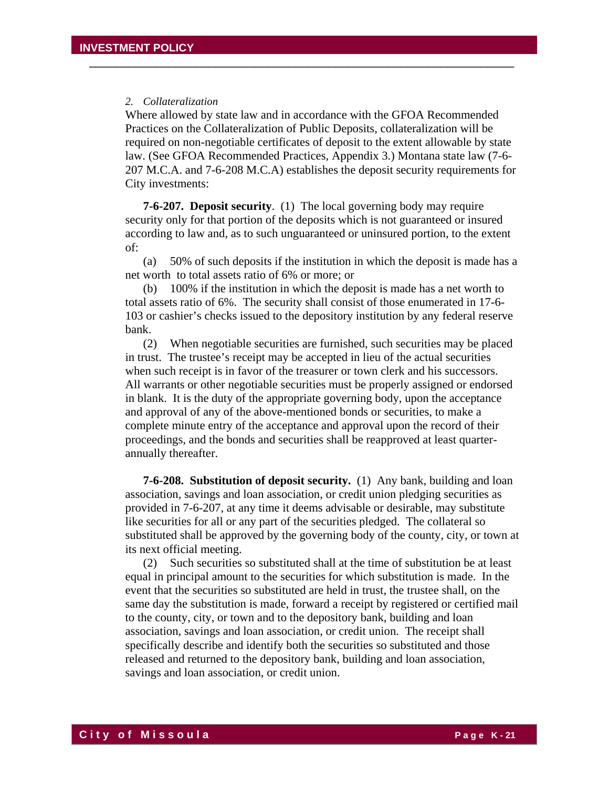#### *2. Collateralization*

Where allowed by state law and in accordance with the GFOA Recommended Practices on the Collateralization of Public Deposits, collateralization will be required on non-negotiable certificates of deposit to the extent allowable by state law. (See GFOA Recommended Practices, Appendix 3.) Montana state law (7-6- 207 M.C.A. and 7-6-208 M.C.A) establishes the deposit security requirements for City investments:

\_\_\_\_\_\_\_\_\_\_\_\_\_\_\_\_\_\_\_\_\_\_\_\_\_\_\_\_\_\_\_\_\_\_\_\_\_\_\_\_\_\_\_\_\_\_\_\_\_\_\_\_\_\_\_\_\_\_\_\_\_\_\_\_

**7-6-207. Deposit security**. (1) The local governing body may require security only for that portion of the deposits which is not guaranteed or insured according to law and, as to such unguaranteed or uninsured portion, to the extent of:

 (a) 50% of such deposits if the institution in which the deposit is made has a net worth to total assets ratio of 6% or more; or

 (b) 100% if the institution in which the deposit is made has a net worth to total assets ratio of 6%. The security shall consist of those enumerated in 17-6- 103 or cashier's checks issued to the depository institution by any federal reserve bank.

 (2) When negotiable securities are furnished, such securities may be placed in trust. The trustee's receipt may be accepted in lieu of the actual securities when such receipt is in favor of the treasurer or town clerk and his successors. All warrants or other negotiable securities must be properly assigned or endorsed in blank. It is the duty of the appropriate governing body, upon the acceptance and approval of any of the above-mentioned bonds or securities, to make a complete minute entry of the acceptance and approval upon the record of their proceedings, and the bonds and securities shall be reapproved at least quarterannually thereafter.

**7-6-208. Substitution of deposit security.** (1) Any bank, building and loan association, savings and loan association, or credit union pledging securities as provided in 7-6-207, at any time it deems advisable or desirable, may substitute like securities for all or any part of the securities pledged. The collateral so substituted shall be approved by the governing body of the county, city, or town at its next official meeting.

 (2) Such securities so substituted shall at the time of substitution be at least equal in principal amount to the securities for which substitution is made. In the event that the securities so substituted are held in trust, the trustee shall, on the same day the substitution is made, forward a receipt by registered or certified mail to the county, city, or town and to the depository bank, building and loan association, savings and loan association, or credit union. The receipt shall specifically describe and identify both the securities so substituted and those released and returned to the depository bank, building and loan association, savings and loan association, or credit union.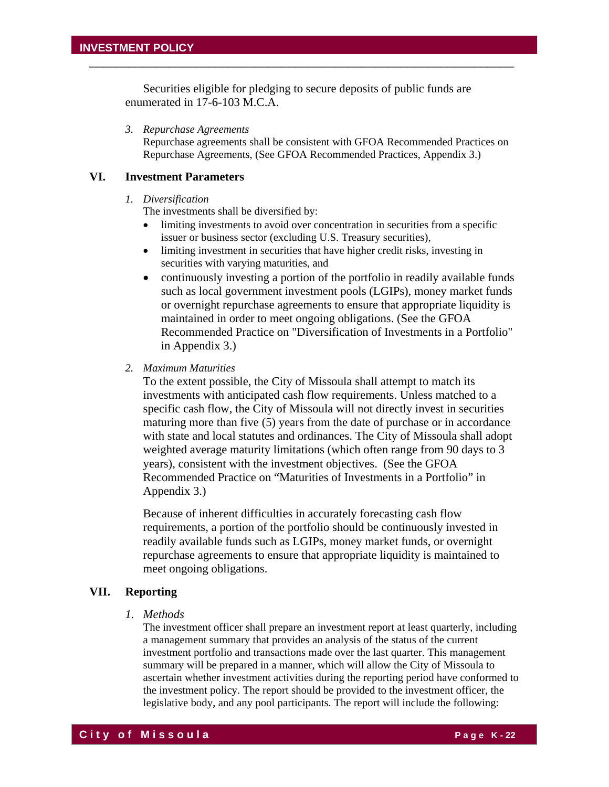Securities eligible for pledging to secure deposits of public funds are enumerated in 17-6-103 M.C.A.

\_\_\_\_\_\_\_\_\_\_\_\_\_\_\_\_\_\_\_\_\_\_\_\_\_\_\_\_\_\_\_\_\_\_\_\_\_\_\_\_\_\_\_\_\_\_\_\_\_\_\_\_\_\_\_\_\_\_\_\_\_\_\_\_

*3. Repurchase Agreements* 

Repurchase agreements shall be consistent with GFOA Recommended Practices on Repurchase Agreements, (See GFOA Recommended Practices, Appendix 3.)

#### **VI. Investment Parameters**

#### *1. Diversification*

The investments shall be diversified by:

- limiting investments to avoid over concentration in securities from a specific issuer or business sector (excluding U.S. Treasury securities),
- limiting investment in securities that have higher credit risks, investing in securities with varying maturities, and
- continuously investing a portion of the portfolio in readily available funds such as local government investment pools (LGIPs), money market funds or overnight repurchase agreements to ensure that appropriate liquidity is maintained in order to meet ongoing obligations. (See the GFOA Recommended Practice on "Diversification of Investments in a Portfolio" in Appendix 3.)
- *2. Maximum Maturities*

To the extent possible, the City of Missoula shall attempt to match its investments with anticipated cash flow requirements. Unless matched to a specific cash flow, the City of Missoula will not directly invest in securities maturing more than five (5) years from the date of purchase or in accordance with state and local statutes and ordinances. The City of Missoula shall adopt weighted average maturity limitations (which often range from 90 days to 3 years), consistent with the investment objectives. (See the GFOA Recommended Practice on "Maturities of Investments in a Portfolio" in Appendix 3.)

Because of inherent difficulties in accurately forecasting cash flow requirements, a portion of the portfolio should be continuously invested in readily available funds such as LGIPs, money market funds, or overnight repurchase agreements to ensure that appropriate liquidity is maintained to meet ongoing obligations.

#### **VII. Reporting**

 *1. Methods* 

The investment officer shall prepare an investment report at least quarterly, including a management summary that provides an analysis of the status of the current investment portfolio and transactions made over the last quarter. This management summary will be prepared in a manner, which will allow the City of Missoula to ascertain whether investment activities during the reporting period have conformed to the investment policy. The report should be provided to the investment officer, the legislative body, and any pool participants. The report will include the following: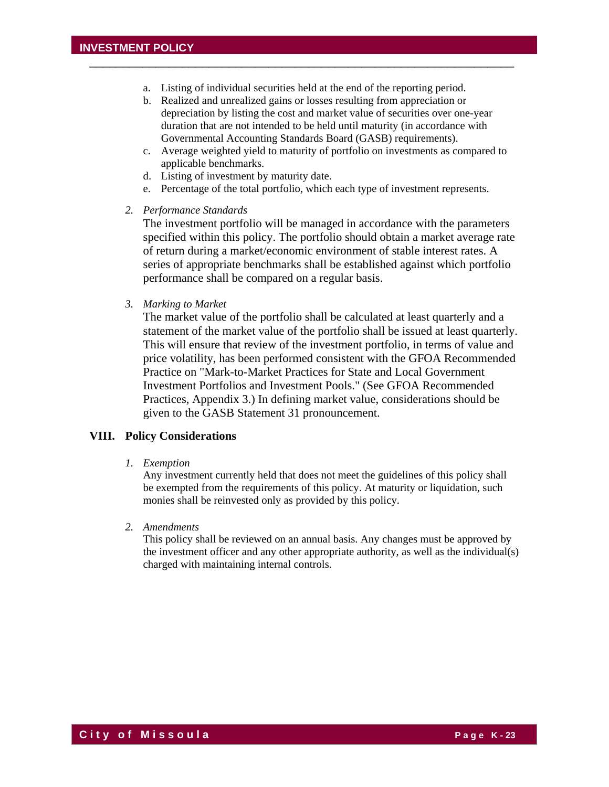a. Listing of individual securities held at the end of the reporting period.

\_\_\_\_\_\_\_\_\_\_\_\_\_\_\_\_\_\_\_\_\_\_\_\_\_\_\_\_\_\_\_\_\_\_\_\_\_\_\_\_\_\_\_\_\_\_\_\_\_\_\_\_\_\_\_\_\_\_\_\_\_\_\_\_

- b. Realized and unrealized gains or losses resulting from appreciation or depreciation by listing the cost and market value of securities over one-year duration that are not intended to be held until maturity (in accordance with Governmental Accounting Standards Board (GASB) requirements).
- c. Average weighted yield to maturity of portfolio on investments as compared to applicable benchmarks.
- d. Listing of investment by maturity date.
- e. Percentage of the total portfolio, which each type of investment represents.
- *2. Performance Standards*

The investment portfolio will be managed in accordance with the parameters specified within this policy. The portfolio should obtain a market average rate of return during a market/economic environment of stable interest rates. A series of appropriate benchmarks shall be established against which portfolio performance shall be compared on a regular basis.

*3. Marking to Market* 

 The market value of the portfolio shall be calculated at least quarterly and a statement of the market value of the portfolio shall be issued at least quarterly. This will ensure that review of the investment portfolio, in terms of value and price volatility, has been performed consistent with the GFOA Recommended Practice on "Mark-to-Market Practices for State and Local Government Investment Portfolios and Investment Pools." (See GFOA Recommended Practices, Appendix 3.) In defining market value, considerations should be given to the GASB Statement 31 pronouncement.

#### **VIII. Policy Considerations**

*1. Exemption* 

 Any investment currently held that does not meet the guidelines of this policy shall be exempted from the requirements of this policy. At maturity or liquidation, such monies shall be reinvested only as provided by this policy.

*2. Amendments*

This policy shall be reviewed on an annual basis. Any changes must be approved by the investment officer and any other appropriate authority, as well as the individual(s) charged with maintaining internal controls.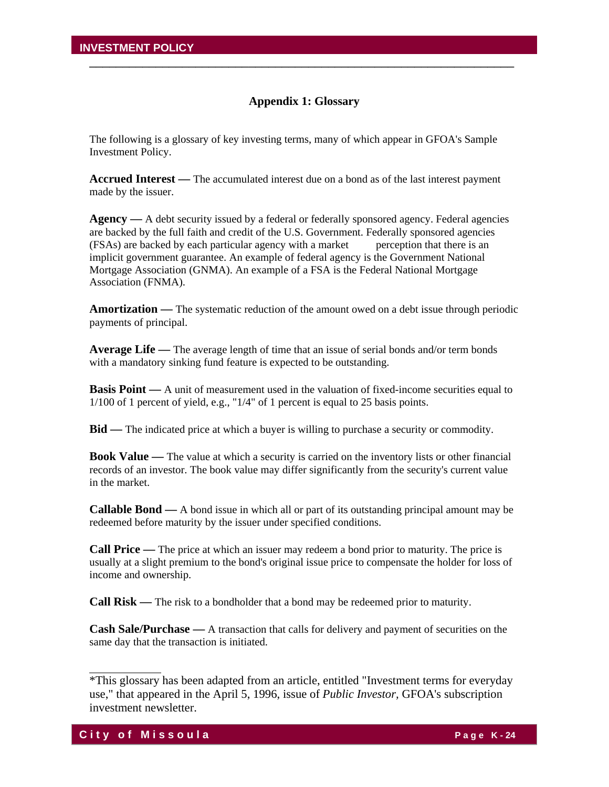### **Appendix 1: Glossary**

\_\_\_\_\_\_\_\_\_\_\_\_\_\_\_\_\_\_\_\_\_\_\_\_\_\_\_\_\_\_\_\_\_\_\_\_\_\_\_\_\_\_\_\_\_\_\_\_\_\_\_\_\_\_\_\_\_\_\_\_\_\_\_\_

The following is a glossary of key investing terms, many of which appear in GFOA's Sample Investment Policy.

**Accrued Interest —** The accumulated interest due on a bond as of the last interest payment made by the issuer.

**Agency** — A debt security issued by a federal or federally sponsored agency. Federal agencies are backed by the full faith and credit of the U.S. Government. Federally sponsored agencies (FSAs) are backed by each particular agency with a market perception that there is an implicit government guarantee. An example of federal agency is the Government National Mortgage Association (GNMA). An example of a FSA is the Federal National Mortgage Association (FNMA).

**Amortization —** The systematic reduction of the amount owed on a debt issue through periodic payments of principal.

**Average Life —** The average length of time that an issue of serial bonds and/or term bonds with a mandatory sinking fund feature is expected to be outstanding.

**Basis Point** — A unit of measurement used in the valuation of fixed-income securities equal to 1/100 of 1 percent of yield, e.g., "1/4" of 1 percent is equal to 25 basis points.

**Bid —** The indicated price at which a buyer is willing to purchase a security or commodity.

**Book Value —** The value at which a security is carried on the inventory lists or other financial records of an investor. The book value may differ significantly from the security's current value in the market.

**Callable Bond —** A bond issue in which all or part of its outstanding principal amount may be redeemed before maturity by the issuer under specified conditions.

**Call Price —** The price at which an issuer may redeem a bond prior to maturity. The price is usually at a slight premium to the bond's original issue price to compensate the holder for loss of income and ownership.

**Call Risk —** The risk to a bondholder that a bond may be redeemed prior to maturity.

**Cash Sale/Purchase —** A transaction that calls for delivery and payment of securities on the same day that the transaction is initiated.

<sup>\*</sup>This glossary has been adapted from an article, entitled "Investment terms for everyday use," that appeared in the April 5, 1996, issue of *Public Investor,* GFOA's subscription investment newsletter.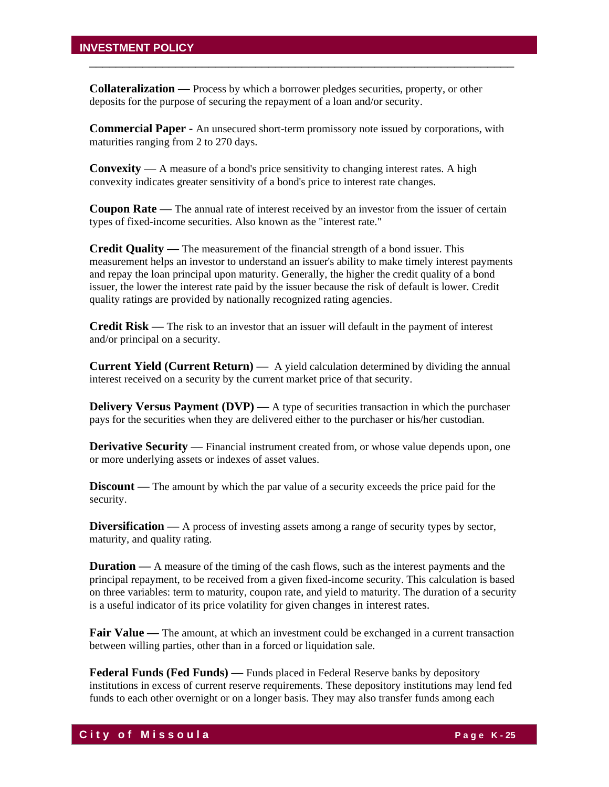**Collateralization —** Process by which a borrower pledges securities, property, or other deposits for the purpose of securing the repayment of a loan and/or security.

**Commercial Paper -** An unsecured short-term promissory note issued by corporations, with maturities ranging from 2 to 270 days.

\_\_\_\_\_\_\_\_\_\_\_\_\_\_\_\_\_\_\_\_\_\_\_\_\_\_\_\_\_\_\_\_\_\_\_\_\_\_\_\_\_\_\_\_\_\_\_\_\_\_\_\_\_\_\_\_\_\_\_\_\_\_\_\_

**Convexity** — A measure of a bond's price sensitivity to changing interest rates. A high convexity indicates greater sensitivity of a bond's price to interest rate changes.

**Coupon Rate** — The annual rate of interest received by an investor from the issuer of certain types of fixed-income securities. Also known as the "interest rate."

**Credit Quality —** The measurement of the financial strength of a bond issuer. This measurement helps an investor to understand an issuer's ability to make timely interest payments and repay the loan principal upon maturity. Generally, the higher the credit quality of a bond issuer, the lower the interest rate paid by the issuer because the risk of default is lower. Credit quality ratings are provided by nationally recognized rating agencies.

**Credit Risk —** The risk to an investor that an issuer will default in the payment of interest and/or principal on a security.

**Current Yield (Current Return) —** A yield calculation determined by dividing the annual interest received on a security by the current market price of that security.

**Delivery Versus Payment (DVP)** — A type of securities transaction in which the purchaser pays for the securities when they are delivered either to the purchaser or his/her custodian.

**Derivative Security** — Financial instrument created from, or whose value depends upon, one or more underlying assets or indexes of asset values.

**Discount** — The amount by which the par value of a security exceeds the price paid for the security.

**Diversification** — A process of investing assets among a range of security types by sector, maturity, and quality rating.

**Duration** — A measure of the timing of the cash flows, such as the interest payments and the principal repayment, to be received from a given fixed-income security. This calculation is based on three variables: term to maturity, coupon rate, and yield to maturity. The duration of a security is a useful indicator of its price volatility for given changes in interest rates.

**Fair Value** — The amount, at which an investment could be exchanged in a current transaction between willing parties, other than in a forced or liquidation sale.

**Federal Funds (Fed Funds) —** Funds placed in Federal Reserve banks by depository institutions in excess of current reserve requirements. These depository institutions may lend fed funds to each other overnight or on a longer basis. They may also transfer funds among each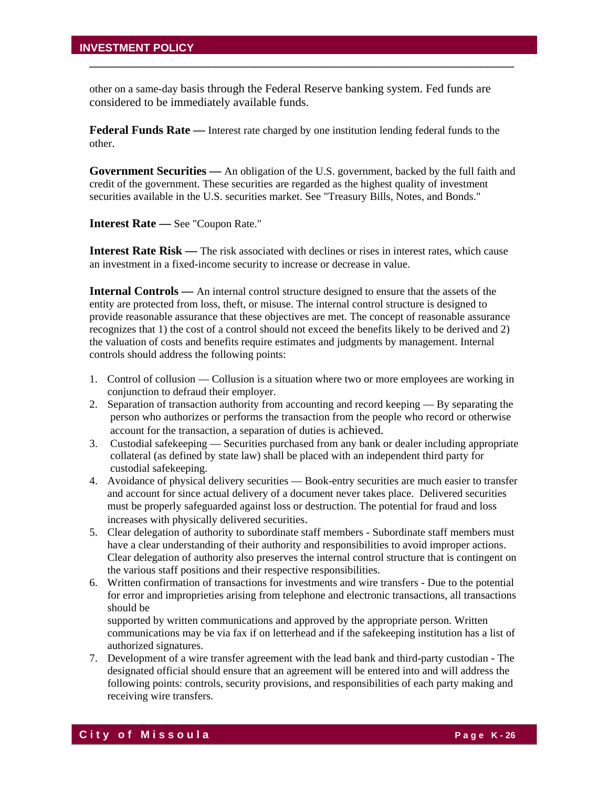other on a same-day basis through the Federal Reserve banking system. Fed funds are considered to be immediately available funds.

\_\_\_\_\_\_\_\_\_\_\_\_\_\_\_\_\_\_\_\_\_\_\_\_\_\_\_\_\_\_\_\_\_\_\_\_\_\_\_\_\_\_\_\_\_\_\_\_\_\_\_\_\_\_\_\_\_\_\_\_\_\_\_\_

**Federal Funds Rate —** Interest rate charged by one institution lending federal funds to the other.

**Government Securities —** An obligation of the U.S. government, backed by the full faith and credit of the government. These securities are regarded as the highest quality of investment securities available in the U.S. securities market. See "Treasury Bills, Notes, and Bonds."

**Interest Rate —** See "Coupon Rate."

**Interest Rate Risk —** The risk associated with declines or rises in interest rates, which cause an investment in a fixed-income security to increase or decrease in value.

**Internal Controls** — An internal control structure designed to ensure that the assets of the entity are protected from loss, theft, or misuse. The internal control structure is designed to provide reasonable assurance that these objectives are met. The concept of reasonable assurance recognizes that 1) the cost of a control should not exceed the benefits likely to be derived and 2) the valuation of costs and benefits require estimates and judgments by management. Internal controls should address the following points:

- 1. Control of collusion Collusion is a situation where two or more employees are working in conjunction to defraud their employer.
- 2. Separation of transaction authority from accounting and record keeping By separating the person who authorizes or performs the transaction from the people who record or otherwise account for the transaction, a separation of duties is achieved.
- 3. Custodial safekeeping Securities purchased from any bank or dealer including appropriate collateral (as defined by state law) shall be placed with an independent third party for custodial safekeeping.
- 4. Avoidance of physical delivery securities Book-entry securities are much easier to transfer and account for since actual delivery of a document never takes place. Delivered securities must be properly safeguarded against loss or destruction. The potential for fraud and loss increases with physically delivered securities.
- 5. Clear delegation of authority to subordinate staff members Subordinate staff members must have a clear understanding of their authority and responsibilities to avoid improper actions. Clear delegation of authority also preserves the internal control structure that is contingent on the various staff positions and their respective responsibilities.
- 6. Written confirmation of transactions for investments and wire transfers Due to the potential for error and improprieties arising from telephone and electronic transactions, all transactions should be

supported by written communications and approved by the appropriate person. Written communications may be via fax if on letterhead and if the safekeeping institution has a list of authorized signatures.

7. Development of a wire transfer agreement with the lead bank and third-party custodian - The designated official should ensure that an agreement will be entered into and will address the following points: controls, security provisions, and responsibilities of each party making and receiving wire transfers.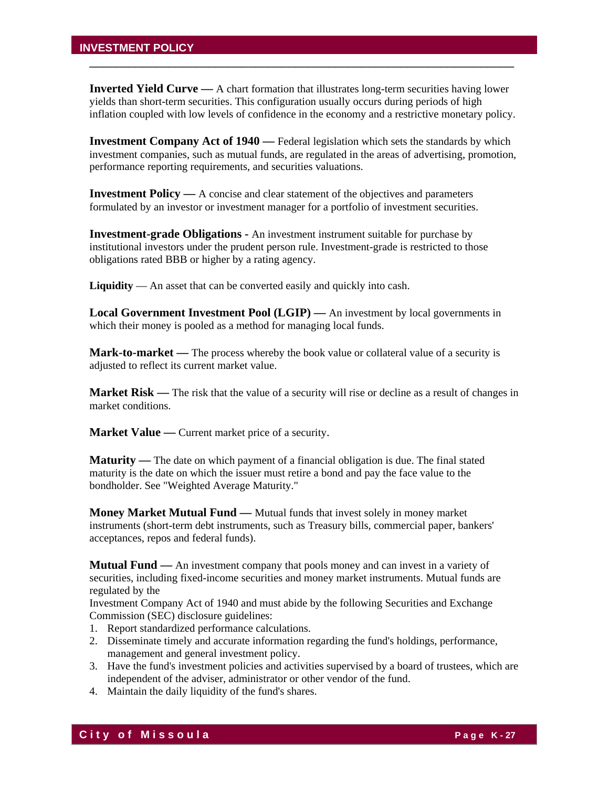**Inverted Yield Curve —** A chart formation that illustrates long-term securities having lower yields than short-term securities. This configuration usually occurs during periods of high inflation coupled with low levels of confidence in the economy and a restrictive monetary policy.

\_\_\_\_\_\_\_\_\_\_\_\_\_\_\_\_\_\_\_\_\_\_\_\_\_\_\_\_\_\_\_\_\_\_\_\_\_\_\_\_\_\_\_\_\_\_\_\_\_\_\_\_\_\_\_\_\_\_\_\_\_\_\_\_

**Investment Company Act of 1940** — Federal legislation which sets the standards by which investment companies, such as mutual funds, are regulated in the areas of advertising, promotion, performance reporting requirements, and securities valuations.

**Investment Policy —** A concise and clear statement of the objectives and parameters formulated by an investor or investment manager for a portfolio of investment securities.

**Investment-grade Obligations -** An investment instrument suitable for purchase by institutional investors under the prudent person rule. Investment-grade is restricted to those obligations rated BBB or higher by a rating agency.

**Liquidity** — An asset that can be converted easily and quickly into cash.

**Local Government Investment Pool (LGIP) —** An investment by local governments in which their money is pooled as a method for managing local funds.

**Mark-to-market —** The process whereby the book value or collateral value of a security is adjusted to reflect its current market value.

**Market Risk** — The risk that the value of a security will rise or decline as a result of changes in market conditions.

**Market Value** — Current market price of a security.

**Maturity** — The date on which payment of a financial obligation is due. The final stated maturity is the date on which the issuer must retire a bond and pay the face value to the bondholder. See "Weighted Average Maturity."

**Money Market Mutual Fund —** Mutual funds that invest solely in money market instruments (short-term debt instruments, such as Treasury bills, commercial paper, bankers' acceptances, repos and federal funds).

**Mutual Fund —** An investment company that pools money and can invest in a variety of securities, including fixed-income securities and money market instruments. Mutual funds are regulated by the

Investment Company Act of 1940 and must abide by the following Securities and Exchange Commission (SEC) disclosure guidelines:

- 1. Report standardized performance calculations.
- 2. Disseminate timely and accurate information regarding the fund's holdings, performance, management and general investment policy.
- 3. Have the fund's investment policies and activities supervised by a board of trustees, which are independent of the adviser, administrator or other vendor of the fund.
- 4. Maintain the daily liquidity of the fund's shares.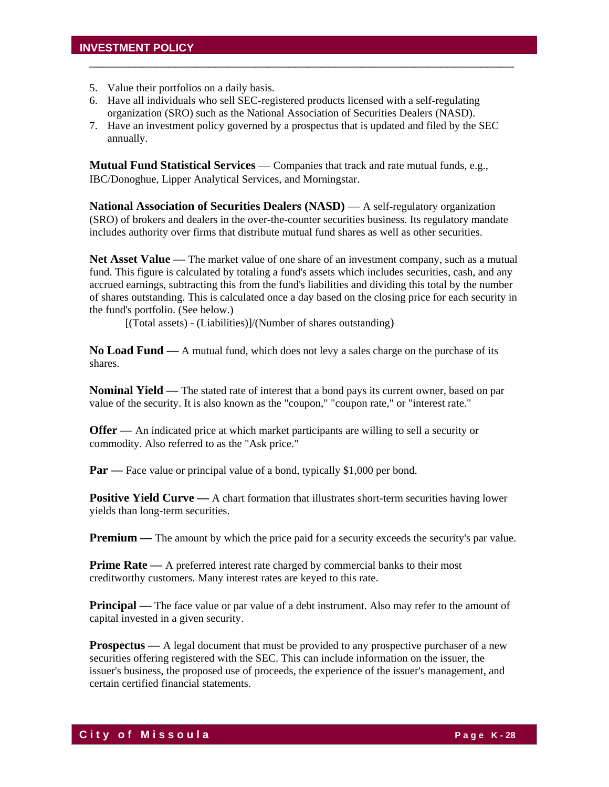- 5. Value their portfolios on a daily basis.
- 6. Have all individuals who sell SEC-registered products licensed with a self-regulating organization (SRO) such as the National Association of Securities Dealers (NASD).
- 7. Have an investment policy governed by a prospectus that is updated and filed by the SEC annually.

\_\_\_\_\_\_\_\_\_\_\_\_\_\_\_\_\_\_\_\_\_\_\_\_\_\_\_\_\_\_\_\_\_\_\_\_\_\_\_\_\_\_\_\_\_\_\_\_\_\_\_\_\_\_\_\_\_\_\_\_\_\_\_\_

**Mutual Fund Statistical Services** — Companies that track and rate mutual funds, e.g., IBC/Donoghue, Lipper Analytical Services, and Morningstar.

**National Association of Securities Dealers (NASD)** — A self-regulatory organization (SRO) of brokers and dealers in the over-the-counter securities business. Its regulatory mandate includes authority over firms that distribute mutual fund shares as well as other securities.

**Net Asset Value —** The market value of one share of an investment company, such as a mutual fund. This figure is calculated by totaling a fund's assets which includes securities, cash, and any accrued earnings, subtracting this from the fund's liabilities and dividing this total by the number of shares outstanding. This is calculated once a day based on the closing price for each security in the fund's portfolio. (See below.)

[(Total assets) - (Liabilities)]/(Number of shares outstanding)

**No Load Fund —** A mutual fund, which does not levy a sales charge on the purchase of its shares.

**Nominal Yield —** The stated rate of interest that a bond pays its current owner, based on par value of the security. It is also known as the "coupon," "coupon rate," or "interest rate."

**Offer** — An indicated price at which market participants are willing to sell a security or commodity. Also referred to as the "Ask price."

**Par** — Face value or principal value of a bond, typically \$1,000 per bond.

**Positive Yield Curve** — A chart formation that illustrates short-term securities having lower yields than long-term securities.

**Premium** — The amount by which the price paid for a security exceeds the security's par value.

**Prime Rate** — A preferred interest rate charged by commercial banks to their most creditworthy customers. Many interest rates are keyed to this rate.

**Principal** — The face value or par value of a debt instrument. Also may refer to the amount of capital invested in a given security.

**Prospectus** — A legal document that must be provided to any prospective purchaser of a new securities offering registered with the SEC. This can include information on the issuer, the issuer's business, the proposed use of proceeds, the experience of the issuer's management, and certain certified financial statements.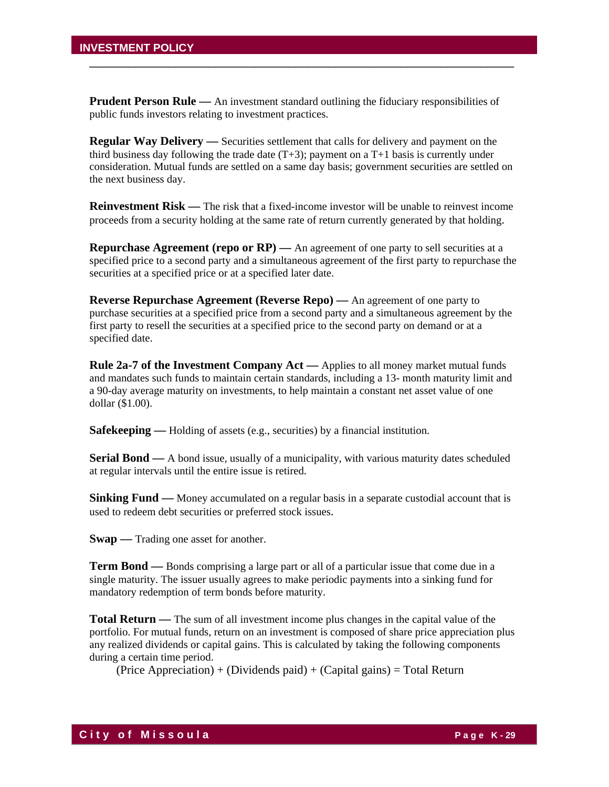**Prudent Person Rule** — An investment standard outlining the fiduciary responsibilities of public funds investors relating to investment practices.

\_\_\_\_\_\_\_\_\_\_\_\_\_\_\_\_\_\_\_\_\_\_\_\_\_\_\_\_\_\_\_\_\_\_\_\_\_\_\_\_\_\_\_\_\_\_\_\_\_\_\_\_\_\_\_\_\_\_\_\_\_\_\_\_

**Regular Way Delivery —** Securities settlement that calls for delivery and payment on the third business day following the trade date  $(T+3)$ ; payment on a T+1 basis is currently under consideration. Mutual funds are settled on a same day basis; government securities are settled on the next business day.

**Reinvestment Risk** — The risk that a fixed-income investor will be unable to reinvest income proceeds from a security holding at the same rate of return currently generated by that holding.

**Repurchase Agreement (repo or RP)** — An agreement of one party to sell securities at a specified price to a second party and a simultaneous agreement of the first party to repurchase the securities at a specified price or at a specified later date.

**Reverse Repurchase Agreement (Reverse Repo) —** An agreement of one party to purchase securities at a specified price from a second party and a simultaneous agreement by the first party to resell the securities at a specified price to the second party on demand or at a specified date.

**Rule 2a-7 of the Investment Company Act —** Applies to all money market mutual funds and mandates such funds to maintain certain standards, including a 13- month maturity limit and a 90-day average maturity on investments, to help maintain a constant net asset value of one dollar (\$1.00).

**Safekeeping** — Holding of assets (e.g., securities) by a financial institution.

**Serial Bond** — A bond issue, usually of a municipality, with various maturity dates scheduled at regular intervals until the entire issue is retired.

**Sinking Fund** — Money accumulated on a regular basis in a separate custodial account that is used to redeem debt securities or preferred stock issues.

**Swap** — Trading one asset for another.

**Term Bond —** Bonds comprising a large part or all of a particular issue that come due in a single maturity. The issuer usually agrees to make periodic payments into a sinking fund for mandatory redemption of term bonds before maturity.

**Total Return —** The sum of all investment income plus changes in the capital value of the portfolio. For mutual funds, return on an investment is composed of share price appreciation plus any realized dividends or capital gains. This is calculated by taking the following components during a certain time period.

 $(Price\ Apprecision) + (Dividends\ paid) + (Capital\ gains) = Total Return$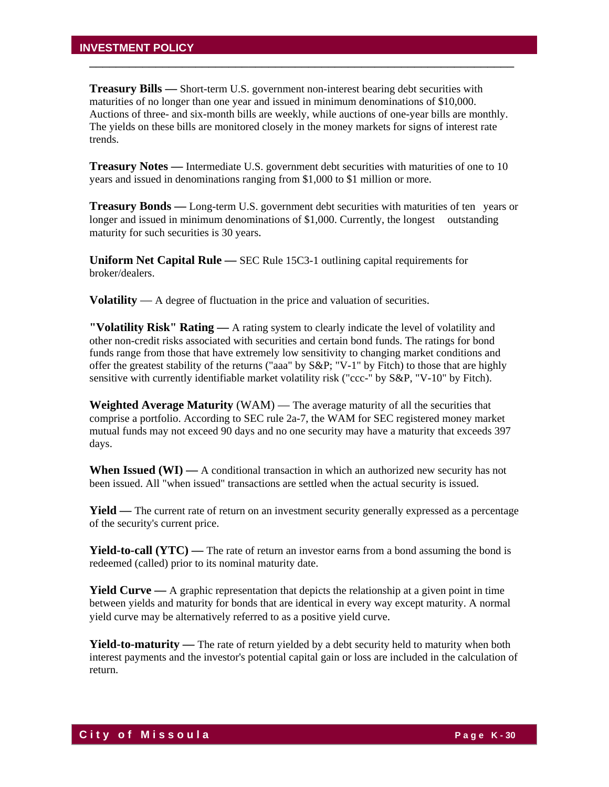**Treasury Bills —** Short-term U.S. government non-interest bearing debt securities with maturities of no longer than one year and issued in minimum denominations of \$10,000. Auctions of three- and six-month bills are weekly, while auctions of one-year bills are monthly. The yields on these bills are monitored closely in the money markets for signs of interest rate trends.

\_\_\_\_\_\_\_\_\_\_\_\_\_\_\_\_\_\_\_\_\_\_\_\_\_\_\_\_\_\_\_\_\_\_\_\_\_\_\_\_\_\_\_\_\_\_\_\_\_\_\_\_\_\_\_\_\_\_\_\_\_\_\_\_

**Treasury Notes —** Intermediate U.S. government debt securities with maturities of one to 10 years and issued in denominations ranging from \$1,000 to \$1 million or more.

**Treasury Bonds —** Long-term U.S. government debt securities with maturities of ten years or longer and issued in minimum denominations of \$1,000. Currently, the longest outstanding maturity for such securities is 30 years.

**Uniform Net Capital Rule —** SEC Rule 15C3-1 outlining capital requirements for broker/dealers.

**Volatility** — A degree of fluctuation in the price and valuation of securities.

**"Volatility Risk" Rating —** A rating system to clearly indicate the level of volatility and other non-credit risks associated with securities and certain bond funds. The ratings for bond funds range from those that have extremely low sensitivity to changing market conditions and offer the greatest stability of the returns ("aaa" by S&P; "V-1" by Fitch) to those that are highly sensitive with currently identifiable market volatility risk ("ccc-" by S&P, "V-10" by Fitch).

**Weighted Average Maturity** (WAM) — The average maturity of all the securities that comprise a portfolio. According to SEC rule 2a-7, the WAM for SEC registered money market mutual funds may not exceed 90 days and no one security may have a maturity that exceeds 397 days.

**When Issued (WI) —** A conditional transaction in which an authorized new security has not been issued. All "when issued" transactions are settled when the actual security is issued.

**Yield** — The current rate of return on an investment security generally expressed as a percentage of the security's current price.

**Yield-to-call (YTC)** — The rate of return an investor earns from a bond assuming the bond is redeemed (called) prior to its nominal maturity date.

**Yield Curve —** A graphic representation that depicts the relationship at a given point in time between yields and maturity for bonds that are identical in every way except maturity. A normal yield curve may be alternatively referred to as a positive yield curve.

**Yield-to-maturity** — The rate of return yielded by a debt security held to maturity when both interest payments and the investor's potential capital gain or loss are included in the calculation of return.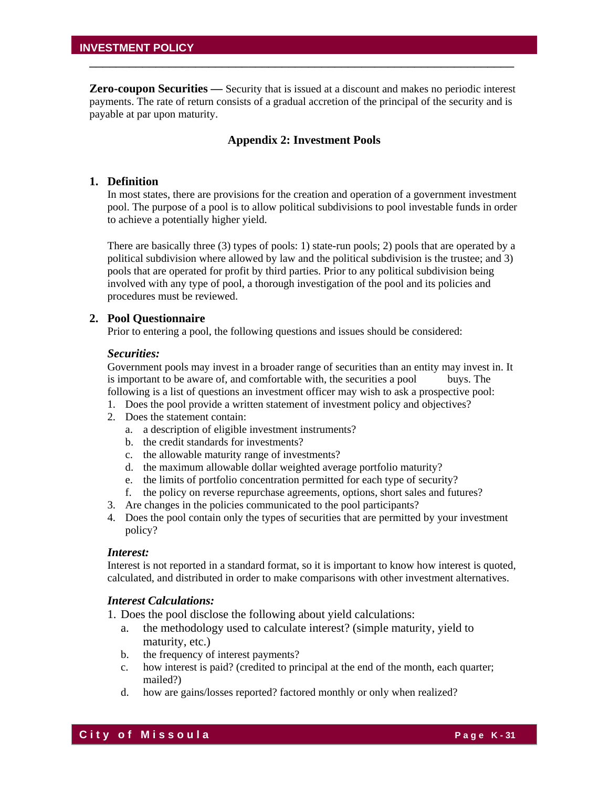**Zero-coupon Securities —** Security that is issued at a discount and makes no periodic interest payments. The rate of return consists of a gradual accretion of the principal of the security and is payable at par upon maturity.

\_\_\_\_\_\_\_\_\_\_\_\_\_\_\_\_\_\_\_\_\_\_\_\_\_\_\_\_\_\_\_\_\_\_\_\_\_\_\_\_\_\_\_\_\_\_\_\_\_\_\_\_\_\_\_\_\_\_\_\_\_\_\_\_

#### **Appendix 2: Investment Pools**

#### **1. Definition**

In most states, there are provisions for the creation and operation of a government investment pool. The purpose of a pool is to allow political subdivisions to pool investable funds in order to achieve a potentially higher yield.

There are basically three (3) types of pools: 1) state-run pools; 2) pools that are operated by a political subdivision where allowed by law and the political subdivision is the trustee; and 3) pools that are operated for profit by third parties. Prior to any political subdivision being involved with any type of pool, a thorough investigation of the pool and its policies and procedures must be reviewed.

#### **2. Pool Questionnaire**

Prior to entering a pool, the following questions and issues should be considered:

#### *Securities:*

Government pools may invest in a broader range of securities than an entity may invest in. It is important to be aware of, and comfortable with, the securities a pool buys. The following is a list of questions an investment officer may wish to ask a prospective pool:

- 1. Does the pool provide a written statement of investment policy and objectives?
- 2. Does the statement contain:
	- a. a description of eligible investment instruments?
	- b. the credit standards for investments?
	- c. the allowable maturity range of investments?
	- d. the maximum allowable dollar weighted average portfolio maturity?
	- e. the limits of portfolio concentration permitted for each type of security?
	- f. the policy on reverse repurchase agreements, options, short sales and futures?
- 3. Are changes in the policies communicated to the pool participants?
- 4. Does the pool contain only the types of securities that are permitted by your investment policy?

#### *Interest:*

Interest is not reported in a standard format, so it is important to know how interest is quoted, calculated, and distributed in order to make comparisons with other investment alternatives.

#### *Interest Calculations:*

- 1. Does the pool disclose the following about yield calculations:
	- a. the methodology used to calculate interest? (simple maturity, yield to maturity, etc.)
	- b. the frequency of interest payments?
	- c. how interest is paid? (credited to principal at the end of the month, each quarter; mailed?)
	- d. how are gains/losses reported? factored monthly or only when realized?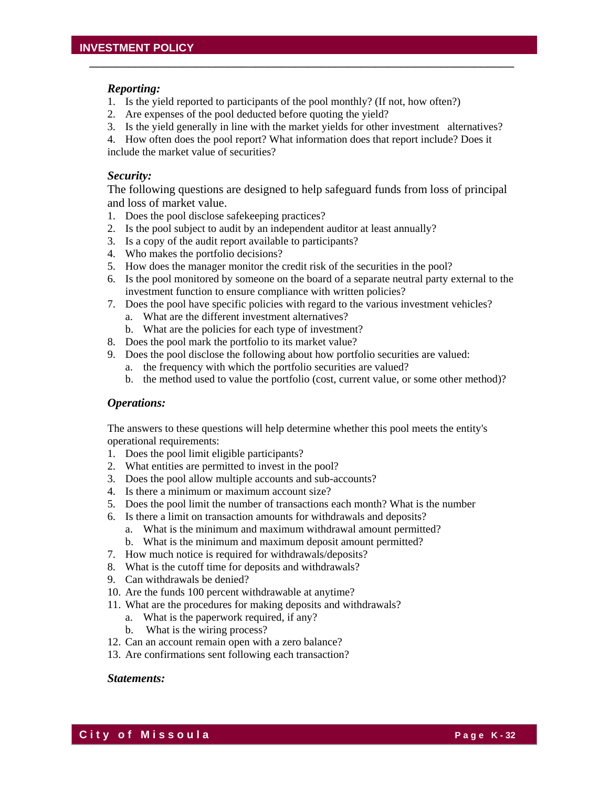#### *Reporting:*

- 1. Is the yield reported to participants of the pool monthly? (If not, how often?)
- 2. Are expenses of the pool deducted before quoting the yield?
- 3. Is the yield generally in line with the market yields for other investment alternatives?

\_\_\_\_\_\_\_\_\_\_\_\_\_\_\_\_\_\_\_\_\_\_\_\_\_\_\_\_\_\_\_\_\_\_\_\_\_\_\_\_\_\_\_\_\_\_\_\_\_\_\_\_\_\_\_\_\_\_\_\_\_\_\_\_

4. How often does the pool report? What information does that report include? Does it include the market value of securities?

#### *Security:*

The following questions are designed to help safeguard funds from loss of principal and loss of market value.

- 1. Does the pool disclose safekeeping practices?
- 2. Is the pool subject to audit by an independent auditor at least annually?
- 3. Is a copy of the audit report available to participants?
- 4. Who makes the portfolio decisions?
- 5. How does the manager monitor the credit risk of the securities in the pool?
- 6. Is the pool monitored by someone on the board of a separate neutral party external to the investment function to ensure compliance with written policies?
- 7. Does the pool have specific policies with regard to the various investment vehicles?
	- a. What are the different investment alternatives?
	- b. What are the policies for each type of investment?
- 8. Does the pool mark the portfolio to its market value?
- 9. Does the pool disclose the following about how portfolio securities are valued:
	- a. the frequency with which the portfolio securities are valued?
	- b. the method used to value the portfolio (cost, current value, or some other method)?

#### *Operations:*

The answers to these questions will help determine whether this pool meets the entity's operational requirements:

- 1. Does the pool limit eligible participants?
- 2. What entities are permitted to invest in the pool?
- 3. Does the pool allow multiple accounts and sub-accounts?
- 4. Is there a minimum or maximum account size?
- 5. Does the pool limit the number of transactions each month? What is the number
- 6. Is there a limit on transaction amounts for withdrawals and deposits?
	- a. What is the minimum and maximum withdrawal amount permitted?
	- b. What is the minimum and maximum deposit amount permitted?
- 7. How much notice is required for withdrawals/deposits?
- 8. What is the cutoff time for deposits and withdrawals?
- 9. Can withdrawals be denied?
- 10. Are the funds 100 percent withdrawable at anytime?
- 11. What are the procedures for making deposits and withdrawals?
	- a. What is the paperwork required, if any?
	- b. What is the wiring process?
- 12. Can an account remain open with a zero balance?
- 13. Are confirmations sent following each transaction?

#### *Statements:*

**City of Missoula City of Missoula**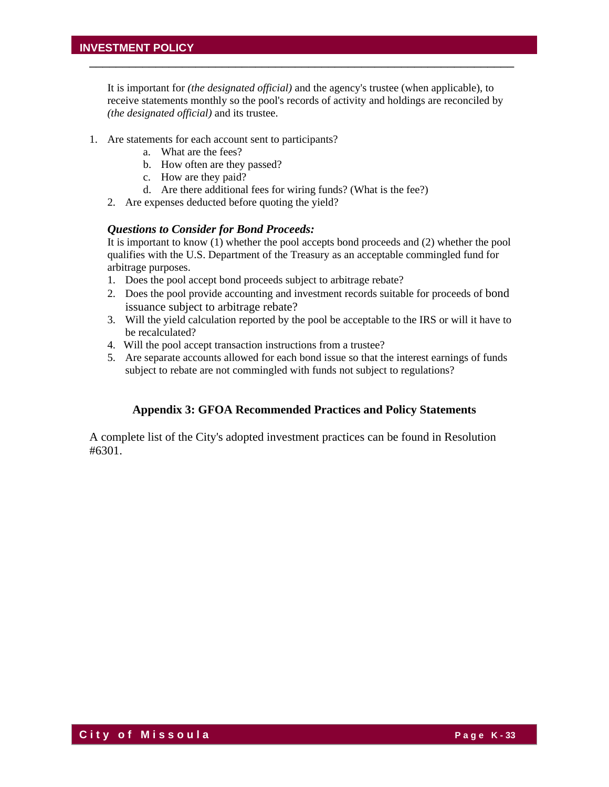It is important for *(the designated official)* and the agency's trustee (when applicable), to receive statements monthly so the pool's records of activity and holdings are reconciled by *(the designated official)* and its trustee.

\_\_\_\_\_\_\_\_\_\_\_\_\_\_\_\_\_\_\_\_\_\_\_\_\_\_\_\_\_\_\_\_\_\_\_\_\_\_\_\_\_\_\_\_\_\_\_\_\_\_\_\_\_\_\_\_\_\_\_\_\_\_\_\_

- 1. Are statements for each account sent to participants?
	- a. What are the fees?
	- b. How often are they passed?
	- c. How are they paid?
	- d. Are there additional fees for wiring funds? (What is the fee?)
	- 2. Are expenses deducted before quoting the yield?

#### *Questions to Consider for Bond Proceeds:*

It is important to know (1) whether the pool accepts bond proceeds and (2) whether the pool qualifies with the U.S. Department of the Treasury as an acceptable commingled fund for arbitrage purposes.

- 1. Does the pool accept bond proceeds subject to arbitrage rebate?
- 2. Does the pool provide accounting and investment records suitable for proceeds of bond issuance subject to arbitrage rebate?
- 3. Will the yield calculation reported by the pool be acceptable to the IRS or will it have to be recalculated?
- 4. Will the pool accept transaction instructions from a trustee?
- 5. Are separate accounts allowed for each bond issue so that the interest earnings of funds subject to rebate are not commingled with funds not subject to regulations?

#### **Appendix 3: GFOA Recommended Practices and Policy Statements**

A complete list of the City's adopted investment practices can be found in Resolution #6301.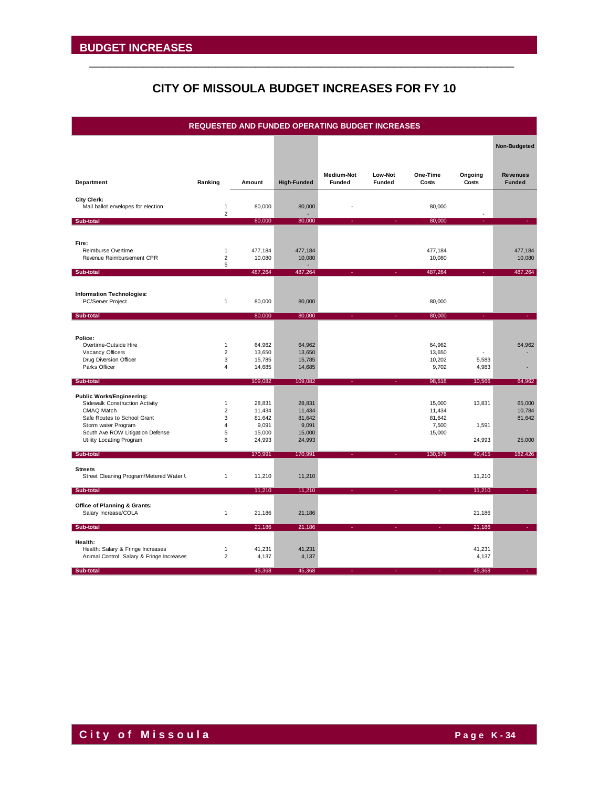# **CITY OF MISSOULA BUDGET INCREASES FOR FY 10**

\_\_\_\_\_\_\_\_\_\_\_\_\_\_\_\_\_\_\_\_\_\_\_\_\_\_\_\_\_\_\_\_\_\_\_\_\_\_\_\_\_\_\_\_\_\_\_\_\_\_\_\_\_\_\_\_\_\_\_\_\_\_\_\_

|                                                           |                                |                  |                    | <b>REQUESTED AND FUNDED OPERATING BUDGET INCREASES</b> |                   |                   |                  |                                  |
|-----------------------------------------------------------|--------------------------------|------------------|--------------------|--------------------------------------------------------|-------------------|-------------------|------------------|----------------------------------|
|                                                           |                                |                  |                    |                                                        |                   |                   |                  | Non-Budgeted                     |
|                                                           |                                |                  |                    |                                                        |                   |                   |                  |                                  |
| Department                                                | Ranking                        | Amount           | <b>High-Funded</b> | Medium-Not<br><b>Funded</b>                            | Low-Not<br>Funded | One-Time<br>Costs | Ongoing<br>Costs | <b>Revenues</b><br><b>Funded</b> |
| <b>City Clerk:</b><br>Mail ballot envelopes for election  | $\mathbf{1}$                   | 80,000           | 80,000             |                                                        |                   | 80,000            |                  |                                  |
|                                                           | $\overline{2}$                 |                  |                    |                                                        |                   |                   |                  |                                  |
| Sub-total                                                 |                                | 80,000           | 80,000             |                                                        |                   | 80,000            |                  |                                  |
|                                                           |                                |                  |                    |                                                        |                   |                   |                  |                                  |
| Fire:<br>Reimburse Overtime                               | $\mathbf{1}$                   | 477,184          | 477,184            |                                                        |                   | 477,184           |                  | 477,184                          |
| Revenue Reimbursement CPR                                 | $\overline{2}$<br>5            | 10,080           | 10,080             |                                                        |                   | 10,080            |                  | 10,080                           |
| Sub-total                                                 |                                | 487,264          | 487,264            |                                                        |                   | 487,264           |                  | 487,264                          |
|                                                           |                                |                  |                    |                                                        |                   |                   |                  |                                  |
| <b>Information Technologies:</b>                          |                                |                  |                    |                                                        |                   |                   |                  |                                  |
| PC/Server Project                                         | $\mathbf{1}$                   | 80,000           | 80,000             |                                                        |                   | 80,000            |                  |                                  |
| Sub-total                                                 |                                | 80,000           | 80,000             |                                                        |                   | 80,000            |                  |                                  |
|                                                           |                                |                  |                    |                                                        |                   |                   |                  |                                  |
| Police:                                                   |                                |                  |                    |                                                        |                   |                   |                  |                                  |
| Overtime-Outside Hire                                     | $\mathbf{1}$<br>$\overline{2}$ | 64,962<br>13,650 | 64,962             |                                                        |                   | 64,962<br>13,650  |                  | 64,962                           |
| Vacancy Officers<br>Drug Diversion Officer                | 3                              | 15,785           | 13,650<br>15,785   |                                                        |                   | 10,202            | 5,583            |                                  |
| Parks Officer                                             | $\overline{4}$                 | 14,685           | 14,685             |                                                        |                   | 9,702             | 4,983            |                                  |
| Sub-total                                                 |                                | 109,082          | 109,082            |                                                        |                   | 98,516            | 10,566           | 64,962                           |
| <b>Public Works/Engineering:</b>                          |                                |                  |                    |                                                        |                   |                   |                  |                                  |
| Sidewalk Construction Activity                            | $\mathbf{1}$                   | 28,831           | 28,831             |                                                        |                   | 15,000            | 13,831           | 65,000                           |
| CMAQ Match                                                | $\overline{\mathbf{c}}$        | 11,434           | 11,434             |                                                        |                   | 11,434            |                  | 10,784                           |
| Safe Routes to School Grant                               | 3<br>$\overline{\mathbf{4}}$   | 81,642           | 81,642             |                                                        |                   | 81,642            |                  | 81,642                           |
| Storm water Program<br>South Ave ROW Litigation Defense   | 5                              | 9,091<br>15,000  | 9,091<br>15,000    |                                                        |                   | 7,500<br>15,000   | 1,591            |                                  |
| Utility Locating Program                                  | 6                              | 24,993           | 24,993             |                                                        |                   |                   | 24,993           | 25,000                           |
| Sub-total                                                 |                                | 170,991          | 170,991            |                                                        |                   | 130,576           | 40,415           | 182,426                          |
|                                                           |                                |                  |                    |                                                        |                   |                   |                  |                                  |
| <b>Streets</b><br>Street Cleaning Program/Metered Water L | 1                              | 11,210           | 11,210             |                                                        |                   |                   | 11,210           |                                  |
|                                                           |                                |                  |                    |                                                        |                   |                   |                  |                                  |
| Sub-total                                                 |                                | 11,210           | 11,210             |                                                        |                   |                   | 11,210           |                                  |
| Office of Planning & Grants:                              |                                |                  |                    |                                                        |                   |                   |                  |                                  |
| Salary Increase/COLA                                      | 1                              | 21,186           | 21,186             |                                                        |                   |                   | 21,186           |                                  |
| Sub-total                                                 |                                | 21,186           | 21,186             |                                                        |                   |                   | 21,186           |                                  |
| Health:                                                   |                                |                  |                    |                                                        |                   |                   |                  |                                  |
| Health: Salary & Fringe Increases                         | 1                              | 41,231           | 41,231             |                                                        |                   |                   | 41,231           |                                  |
| Animal Control: Salary & Fringe Increases                 | $\overline{2}$                 | 4,137            | 4,137              |                                                        |                   |                   | 4,137            |                                  |
| Sub-total                                                 |                                | 45,368           | 45,368             |                                                        |                   |                   | 45,368           |                                  |

**City of Missoula City of Missoula**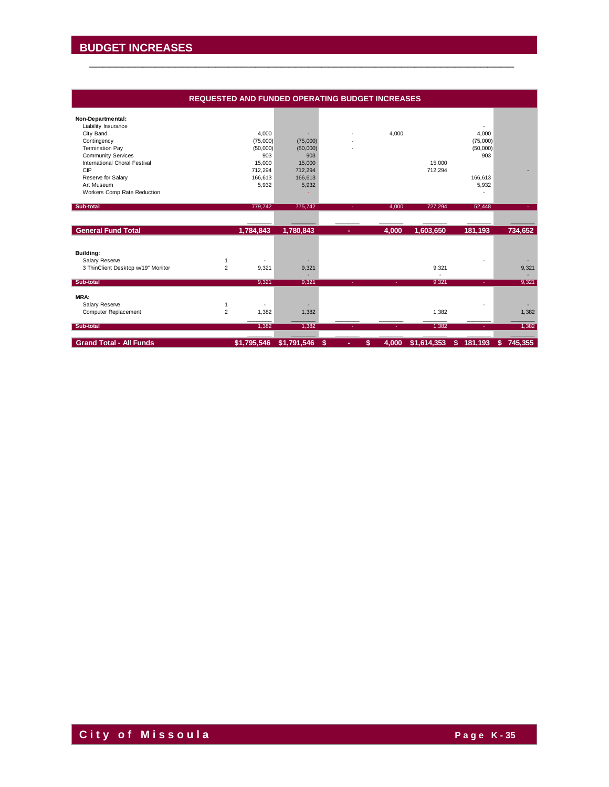#### **REQUESTED AND FUNDED OPERATING BUDGET INCREASES**

| Non-Departmental:                  |                |             |             |         |             |             |              |                |
|------------------------------------|----------------|-------------|-------------|---------|-------------|-------------|--------------|----------------|
| Liability Insurance                |                |             |             |         |             |             |              |                |
| City Band                          |                | 4,000       |             |         | 4,000       |             | 4,000        |                |
| Contingency                        |                | (75,000)    | (75,000)    |         |             |             | (75,000)     |                |
| <b>Termination Pay</b>             |                | (50,000)    | (50,000)    |         |             |             | (50,000)     |                |
| <b>Community Services</b>          |                | 903         | 903         |         |             |             | 903          |                |
| International Choral Festival      |                | 15.000      | 15,000      |         |             | 15.000      |              |                |
| CIP                                |                | 712,294     | 712,294     |         |             | 712,294     |              |                |
| Reserve for Salary                 |                | 166,613     | 166,613     |         |             |             | 166,613      |                |
| Art Museum                         |                | 5,932       | 5,932       |         |             |             | 5,932        |                |
| Workers Comp Rate Reduction        |                |             |             |         |             |             |              |                |
|                                    |                |             |             |         |             |             |              |                |
| Sub-total                          |                | 779,742     | 775,742     |         | 4.000       | 727,294     | 52,448       |                |
|                                    |                |             |             |         |             |             |              |                |
| <b>General Fund Total</b>          |                | 1,784,843   | 1,780,843   | ٠       | 4,000       | 1,603,650   | 181,193      | 734,652        |
|                                    |                |             |             |         |             |             |              |                |
| Building:                          |                |             |             |         |             |             |              |                |
| Salary Reserve                     |                |             |             |         |             |             |              |                |
| 3 ThinClient Desktop w/19" Monitor | $\overline{2}$ | 9,321       | 9,321       |         |             | 9,321       |              | 9,321          |
|                                    |                |             |             |         |             |             |              |                |
| Sub-total                          |                | 9,321       | 9,321       | ÷.      | ÷.          | 9.321       | ÷.           | 9,321          |
| MRA:                               |                |             |             |         |             |             |              |                |
| Salary Reserve                     | 1              |             |             |         |             |             |              |                |
| Computer Replacement               | $\overline{2}$ | 1,382       | 1,382       |         |             | 1,382       |              | 1,382          |
|                                    |                |             |             |         |             |             |              |                |
| Sub-total                          |                | 1,382       | 1,382       |         |             | 1,382       | ٠            | 1,382          |
| <b>Grand Total - All Funds</b>     |                | \$1,795,546 | \$1,791,546 | \$<br>٠ | 4,000<br>\$ | \$1,614,353 | 181,193<br>S | 745,355<br>\$. |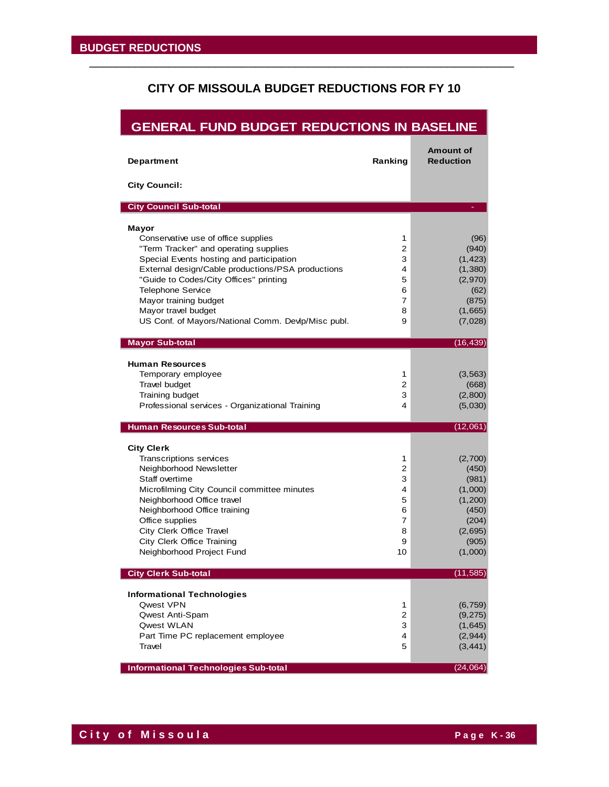# **CITY OF MISSOULA BUDGET REDUCTIONS FOR FY 10**

| <b>GENERAL FUND BUDGET REDUCTIONS IN BASELINE</b>                                                                                                                                                                                                                                                                       |                                                 |                                                                                                  |
|-------------------------------------------------------------------------------------------------------------------------------------------------------------------------------------------------------------------------------------------------------------------------------------------------------------------------|-------------------------------------------------|--------------------------------------------------------------------------------------------------|
| <b>Department</b>                                                                                                                                                                                                                                                                                                       | Ranking                                         | <b>Amount of</b><br><b>Reduction</b>                                                             |
| <b>City Council:</b>                                                                                                                                                                                                                                                                                                    |                                                 |                                                                                                  |
| <b>City Council Sub-total</b>                                                                                                                                                                                                                                                                                           |                                                 |                                                                                                  |
| Mayor                                                                                                                                                                                                                                                                                                                   |                                                 |                                                                                                  |
| Conservative use of office supplies<br>"Term Tracker" and operating supplies<br>Special Events hosting and participation<br>External design/Cable productions/PSA productions<br>"Guide to Codes/City Offices" printing<br><b>Telephone Service</b><br>Mayor training budget<br>Mayor travel budget                     | 1<br>2<br>3<br>4<br>5<br>6<br>7<br>8            | (96)<br>(940)<br>(1, 423)<br>(1, 380)<br>(2,970)<br>(62)<br>(875)<br>(1,665)                     |
| US Conf. of Mayors/National Comm. Devlp/Misc publ.                                                                                                                                                                                                                                                                      | 9                                               | (7,028)                                                                                          |
| <b>Mayor Sub-total</b>                                                                                                                                                                                                                                                                                                  |                                                 | (16, 439)                                                                                        |
| <b>Human Resources</b><br>Temporary employee<br>Travel budget<br>Training budget<br>Professional services - Organizational Training                                                                                                                                                                                     | 1<br>2<br>3<br>4                                | (3, 563)<br>(668)<br>(2,800)<br>(5,030)                                                          |
| <b>Human Resources Sub-total</b>                                                                                                                                                                                                                                                                                        |                                                 | (12,061)                                                                                         |
| <b>City Clerk</b><br>Transcriptions services<br>Neighborhood Newsletter<br>Staff overtime<br>Microfilming City Council committee minutes<br>Neighborhood Office travel<br>Neighborhood Office training<br>Office supplies<br>City Clerk Office Travel<br><b>City Clerk Office Training</b><br>Neighborhood Project Fund | 1<br>2<br>3<br>4<br>5<br>6<br>7<br>8<br>9<br>10 | (2,700)<br>(450)<br>(981)<br>(1,000)<br>(1,200)<br>(450)<br>(204)<br>(2,695)<br>(905)<br>(1,000) |
| <b>City Clerk Sub-total</b>                                                                                                                                                                                                                                                                                             |                                                 | (11, 585)                                                                                        |
| <b>Informational Technologies</b><br>Qwest VPN<br><b>Qwest Anti-Spam</b><br>Qwest WLAN<br>Part Time PC replacement employee<br>Travel                                                                                                                                                                                   | 1<br>2<br>3<br>4<br>5                           | (6, 759)<br>(9, 275)<br>(1,645)<br>(2,944)<br>(3, 441)                                           |
| <b>Informational Technologies Sub-total</b>                                                                                                                                                                                                                                                                             |                                                 | (24,064)                                                                                         |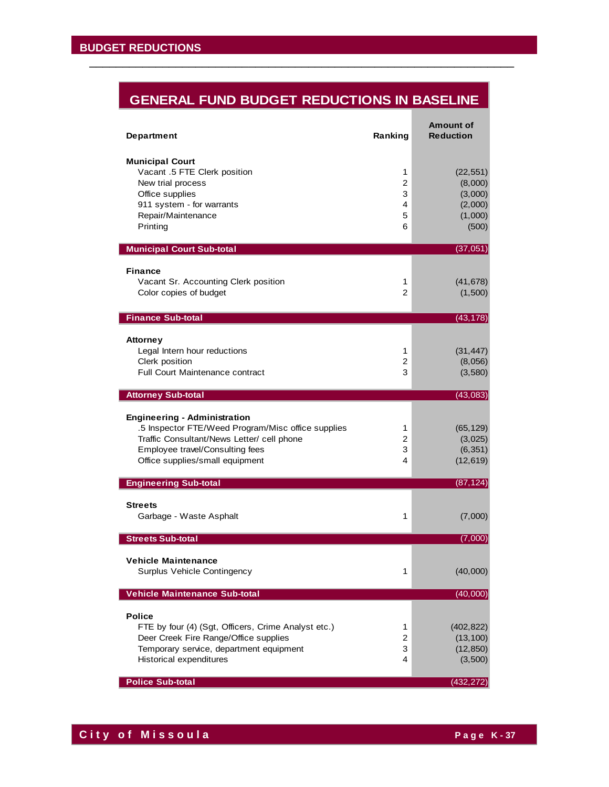# **GENERAL FUND BUDGET REDUCTIONS IN BASELINE**

| <b>Department</b>                                                                                                                                                                                                                             | Ranking                                 | <b>Amount of</b><br><b>Reduction</b>                           |
|-----------------------------------------------------------------------------------------------------------------------------------------------------------------------------------------------------------------------------------------------|-----------------------------------------|----------------------------------------------------------------|
| <b>Municipal Court</b><br>Vacant .5 FTE Clerk position<br>New trial process<br>Office supplies<br>911 system - for warrants<br>Repair/Maintenance<br>Printing                                                                                 | 1<br>$\overline{c}$<br>3<br>4<br>5<br>6 | (22, 551)<br>(8,000)<br>(3,000)<br>(2,000)<br>(1,000)<br>(500) |
| <b>Municipal Court Sub-total</b>                                                                                                                                                                                                              |                                         | (37,051)                                                       |
| <b>Finance</b><br>Vacant Sr. Accounting Clerk position<br>Color copies of budget                                                                                                                                                              | 1<br>$\overline{2}$                     | (41, 678)<br>(1,500)                                           |
| <b>Finance Sub-total</b>                                                                                                                                                                                                                      |                                         | (43, 178)                                                      |
| Attorney<br>Legal Intern hour reductions<br>Clerk position<br><b>Full Court Maintenance contract</b>                                                                                                                                          | 1<br>2<br>3                             | (31, 447)<br>(8,056)<br>(3,580)                                |
| <b>Attorney Sub-total</b>                                                                                                                                                                                                                     |                                         | (43,083)                                                       |
| <b>Engineering - Administration</b><br>.5 Inspector FTE/Weed Program/Misc office supplies<br>Traffic Consultant/News Letter/ cell phone<br>Employee travel/Consulting fees<br>Office supplies/small equipment<br><b>Engineering Sub-total</b> | 1<br>2<br>3<br>4                        | (65, 129)<br>(3,025)<br>(6, 351)<br>(12, 619)<br>(87, 124)     |
|                                                                                                                                                                                                                                               |                                         |                                                                |
| <b>Streets</b><br>Garbage - Waste Asphalt                                                                                                                                                                                                     | 1                                       | (7,000)                                                        |
| <b>Streets Sub-total</b>                                                                                                                                                                                                                      |                                         | (7,000)                                                        |
| <b>Vehicle Maintenance</b><br><b>Surplus Vehicle Contingency</b>                                                                                                                                                                              | 1                                       | (40,000)                                                       |
| <b>Vehicle Maintenance Sub-total</b>                                                                                                                                                                                                          |                                         | (40,000)                                                       |
| <b>Police</b><br>FTE by four (4) (Sgt, Officers, Crime Analyst etc.)<br>Deer Creek Fire Range/Office supplies<br>Temporary service, department equipment<br>Historical expenditures<br><b>Police Sub-total</b>                                | 1<br>$\overline{c}$<br>3<br>4           | (402, 822)<br>(13, 100)<br>(12, 850)<br>(3,500)<br>(432, 272)  |
|                                                                                                                                                                                                                                               |                                         |                                                                |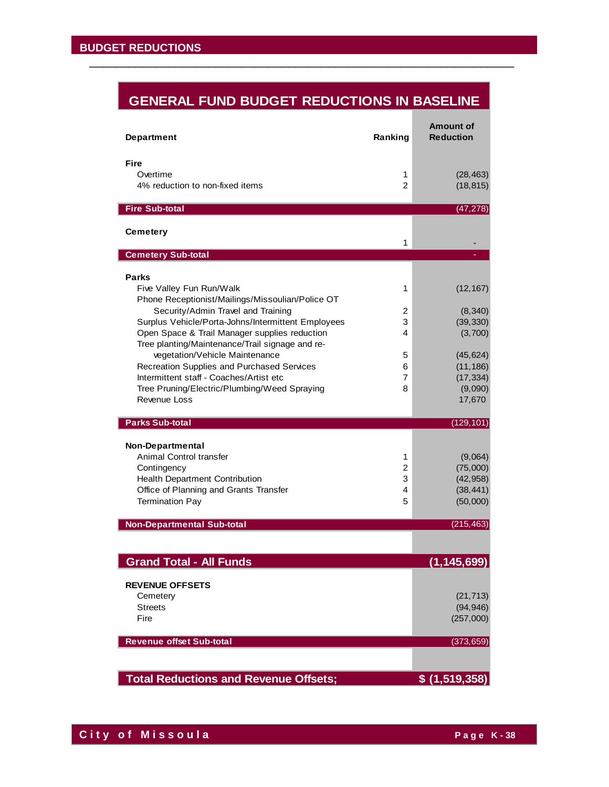# **GENERAL FUND BUDGET REDUCTIONS IN BASELINE**

\_\_\_\_\_\_\_\_\_\_\_\_\_\_\_\_\_\_\_\_\_\_\_\_\_\_\_\_\_\_\_\_\_\_\_\_\_\_\_\_\_\_\_\_\_\_\_\_\_\_\_\_\_\_\_\_\_\_\_\_\_\_\_\_

| <b>Department</b>                                                                 | Ranking | <b>Amount of</b><br><b>Reduction</b> |
|-----------------------------------------------------------------------------------|---------|--------------------------------------|
| Fire                                                                              |         |                                      |
| Overtime                                                                          | 1       | (28, 463)                            |
| 4% reduction to non-fixed items                                                   | 2       | (18, 815)                            |
|                                                                                   |         |                                      |
| <b>Fire Sub-total</b>                                                             |         | (47, 278)                            |
| <b>Cemetery</b>                                                                   |         |                                      |
|                                                                                   | 1       |                                      |
| <b>Cemetery Sub-total</b>                                                         |         |                                      |
|                                                                                   |         |                                      |
| <b>Parks</b><br>Five Valley Fun Run/Walk                                          | 1       | (12, 167)                            |
| Phone Receptionist/Mailings/Missoulian/Police OT                                  |         |                                      |
| Security/Admin Travel and Training                                                | 2       | (8, 340)                             |
| Surplus Vehicle/Porta-Johns/Intermittent Employees                                | 3       | (39, 330)                            |
| Open Space & Trail Manager supplies reduction                                     | 4       | (3,700)                              |
| Tree planting/Maintenance/Trail signage and re-<br>vegetation/Vehicle Maintenance | 5       | (45, 624)                            |
| Recreation Supplies and Purchased Services                                        | 6       | (11, 186)                            |
| Intermittent staff - Coaches/Artist etc                                           | 7       | (17, 334)                            |
| Tree Pruning/Electric/Plumbing/Weed Spraying                                      | 8       | (9,090)                              |
| Revenue Loss                                                                      |         | 17,670                               |
| <b>Parks Sub-total</b>                                                            |         | (129, 101)                           |
|                                                                                   |         |                                      |
| <b>Non-Departmental</b>                                                           |         |                                      |
| Animal Control transfer                                                           | 1       | (9,064)                              |
| Contingency                                                                       | 2       | (75,000)                             |
| Health Department Contribution<br>Office of Planning and Grants Transfer          | 3<br>4  | (42, 958)<br>(38, 441)               |
| <b>Termination Pay</b>                                                            | 5       | (50,000)                             |
|                                                                                   |         |                                      |
| <b>Non-Departmental Sub-total</b>                                                 |         | (215, 463)                           |
|                                                                                   |         |                                      |
| <b>Grand Total - All Funds</b>                                                    |         | (1.145.699)                          |
|                                                                                   |         |                                      |
| <b>REVENUE OFFSETS</b>                                                            |         |                                      |
| Cemetery<br><b>Streets</b>                                                        |         | (21, 713)<br>(94, 946)               |
| Fire                                                                              |         | (257,000)                            |
|                                                                                   |         |                                      |
| <b>Revenue offset Sub-total</b>                                                   |         | (373, 659)                           |
|                                                                                   |         |                                      |
| <b>Total Reductions and Revenue Offsets;</b>                                      |         | \$(1, 519, 358)                      |

**City of Missoula City of Missoula**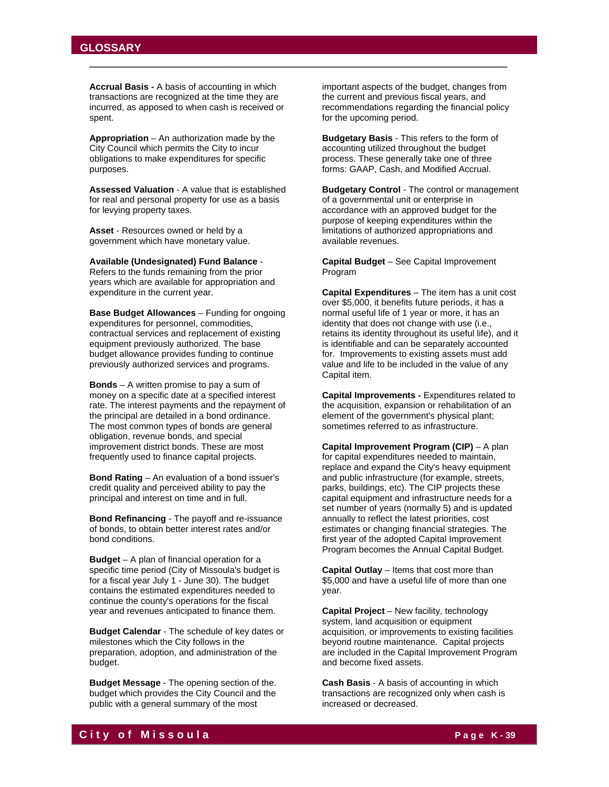#### **GLOSSARY**

**Accrual Basis -** A basis of accounting in which transactions are recognized at the time they are incurred, as apposed to when cash is received or spent.

\_\_\_\_\_\_\_\_\_\_\_\_\_\_\_\_\_\_\_\_\_\_\_\_\_\_\_\_\_\_\_\_\_\_\_\_\_\_\_\_\_\_\_\_\_\_\_\_\_\_\_\_\_\_\_\_\_\_\_\_\_\_\_

**Appropriation** – An authorization made by the City Council which permits the City to incur obligations to make expenditures for specific purposes.

**Assessed Valuation** - A value that is established for real and personal property for use as a basis for levying property taxes.

**Asset** - Resources owned or held by a government which have monetary value.

**Available (Undesignated) Fund Balance** - Refers to the funds remaining from the prior years which are available for appropriation and expenditure in the current year.

**Base Budget Allowances** – Funding for ongoing expenditures for personnel, commodities, contractual services and replacement of existing equipment previously authorized. The base budget allowance provides funding to continue previously authorized services and programs.

**Bonds** – A written promise to pay a sum of money on a specific date at a specified interest rate. The interest payments and the repayment of the principal are detailed in a bond ordinance. The most common types of bonds are general obligation, revenue bonds, and special improvement district bonds. These are most frequently used to finance capital projects.

**Bond Rating** – An evaluation of a bond issuer's credit quality and perceived ability to pay the principal and interest on time and in full.

**Bond Refinancing** - The payoff and re-issuance of bonds, to obtain better interest rates and/or bond conditions.

**Budget** – A plan of financial operation for a specific time period (City of Missoula's budget is for a fiscal year July 1 - June 30). The budget contains the estimated expenditures needed to continue the county's operations for the fiscal year and revenues anticipated to finance them.

**Budget Calendar** - The schedule of key dates or milestones which the City follows in the preparation, adoption, and administration of the budget.

**Budget Message** - The opening section of the. budget which provides the City Council and the public with a general summary of the most

important aspects of the budget, changes from the current and previous fiscal years, and recommendations regarding the financial policy for the upcoming period.

**Budgetary Basis** - This refers to the form of accounting utilized throughout the budget process. These generally take one of three forms: GAAP, Cash, and Modified Accrual.

**Budgetary Control** - The control or management of a governmental unit or enterprise in accordance with an approved budget for the purpose of keeping expenditures within the limitations of authorized appropriations and available revenues.

**Capital Budget** – See Capital Improvement Program

**Capital Expenditures** – The item has a unit cost over \$5,000, it benefits future periods, it has a normal useful life of 1 year or more, it has an identity that does not change with use (i.e., retains its identity throughout its useful life), and it is identifiable and can be separately accounted for. Improvements to existing assets must add value and life to be included in the value of any Capital item.

**Capital Improvements -** Expenditures related to the acquisition, expansion or rehabilitation of an element of the government's physical plant; sometimes referred to as infrastructure.

**Capital Improvement Program (CIP)** – A plan for capital expenditures needed to maintain, replace and expand the City's heavy equipment and public infrastructure (for example, streets, parks, buildings, etc). The CIP projects these capital equipment and infrastructure needs for a set number of years (normally 5) and is updated annually to reflect the latest priorities, cost estimates or changing financial strategies. The first year of the adopted Capital Improvement Program becomes the Annual Capital Budget.

**Capital Outlay** – Items that cost more than \$5,000 and have a useful life of more than one year.

**Capital Project** – New facility, technology system, land acquisition or equipment acquisition, or improvements to existing facilities beyond routine maintenance. Capital projects are included in the Capital Improvement Program and become fixed assets.

**Cash Basis** - A basis of accounting in which transactions are recognized only when cash is increased or decreased.

# **C i t y o f M i s s o u l a P a g e K - 39**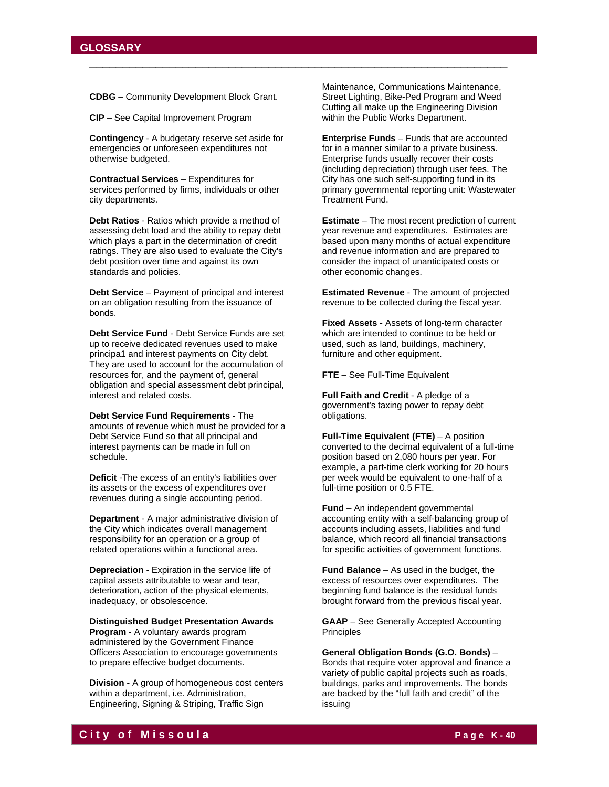**CDBG** – Community Development Block Grant.

**CIP** – See Capital Improvement Program

**Contingency** - A budgetary reserve set aside for emergencies or unforeseen expenditures not otherwise budgeted.

**Contractual Services** – Expenditures for services performed by firms, individuals or other city departments.

**Debt Ratios** - Ratios which provide a method of assessing debt load and the ability to repay debt which plays a part in the determination of credit ratings. They are also used to evaluate the City's debt position over time and against its own standards and policies.

**Debt Service** – Payment of principal and interest on an obligation resulting from the issuance of bonds.

**Debt Service Fund** - Debt Service Funds are set up to receive dedicated revenues used to make principa1 and interest payments on City debt. They are used to account for the accumulation of resources for, and the payment of, general obligation and special assessment debt principal, interest and related costs.

**Debt Service Fund Requirements** - The amounts of revenue which must be provided for a Debt Service Fund so that all principal and interest payments can be made in full on schedule.

**Deficit** -The excess of an entity's liabilities over its assets or the excess of expenditures over revenues during a single accounting period.

**Department** - A major administrative division of the City which indicates overall management responsibility for an operation or a group of related operations within a functional area.

**Depreciation** - Expiration in the service life of capital assets attributable to wear and tear, deterioration, action of the physical elements, inadequacy, or obsolescence.

**Distinguished Budget Presentation Awards Program** - A voluntary awards program administered by the Government Finance Officers Association to encourage governments to prepare effective budget documents.

**Division -** A group of homogeneous cost centers within a department, i.e. Administration, Engineering, Signing & Striping, Traffic Sign

Maintenance, Communications Maintenance, Street Lighting, Bike-Ped Program and Weed Cutting all make up the Engineering Division within the Public Works Department.

\_\_\_\_\_\_\_\_\_\_\_\_\_\_\_\_\_\_\_\_\_\_\_\_\_\_\_\_\_\_\_\_\_\_\_\_\_\_\_\_\_\_\_\_\_\_\_\_\_\_\_\_\_\_\_\_\_\_\_\_\_\_\_

**Enterprise Funds** – Funds that are accounted for in a manner similar to a private business. Enterprise funds usually recover their costs (including depreciation) through user fees. The City has one such self-supporting fund in its primary governmental reporting unit: Wastewater Treatment Fund.

**Estimate** – The most recent prediction of current year revenue and expenditures. Estimates are based upon many months of actual expenditure and revenue information and are prepared to consider the impact of unanticipated costs or other economic changes.

**Estimated Revenue** - The amount of projected revenue to be collected during the fiscal year.

**Fixed Assets** - Assets of long-term character which are intended to continue to be held or used, such as land, buildings, machinery, furniture and other equipment.

**FTE** – See Full-Time Equivalent

**Full Faith and Credit** - A pledge of a government's taxing power to repay debt obligations.

**Full-Time Equivalent (FTE)** – A position converted to the decimal equivalent of a full-time position based on 2,080 hours per year. For example, a part-time clerk working for 20 hours per week would be equivalent to one-half of a full-time position or 0.5 FTE.

**Fund** – An independent governmental accounting entity with a self-balancing group of accounts including assets, liabilities and fund balance, which record all financial transactions for specific activities of government functions.

**Fund Balance** – As used in the budget, the excess of resources over expenditures. The beginning fund balance is the residual funds brought forward from the previous fiscal year.

**GAAP** – See Generally Accepted Accounting Principles

**General Obligation Bonds (G.O. Bonds)** – Bonds that require voter approval and finance a variety of public capital projects such as roads, buildings, parks and improvements. The bonds are backed by the "full faith and credit" of the issuing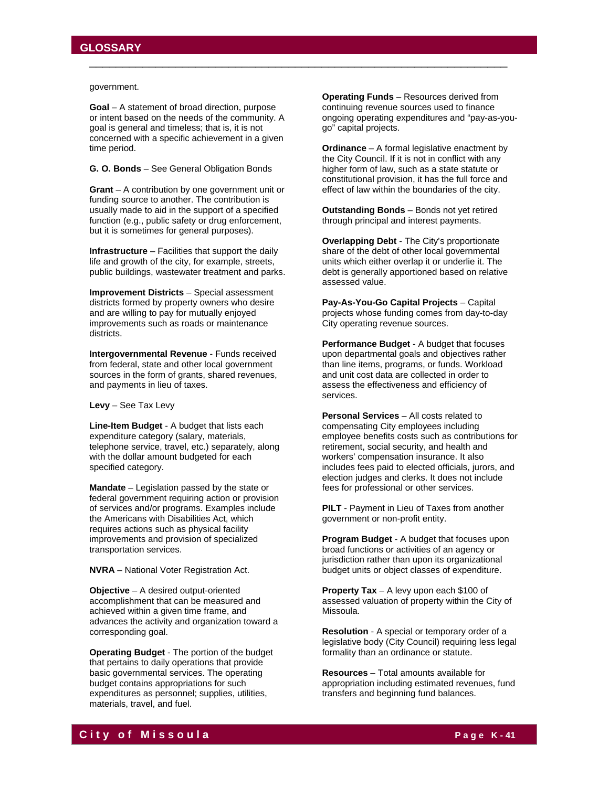government.

**Goal** – A statement of broad direction, purpose or intent based on the needs of the community. A goal is general and timeless; that is, it is not concerned with a specific achievement in a given time period.

\_\_\_\_\_\_\_\_\_\_\_\_\_\_\_\_\_\_\_\_\_\_\_\_\_\_\_\_\_\_\_\_\_\_\_\_\_\_\_\_\_\_\_\_\_\_\_\_\_\_\_\_\_\_\_\_\_\_\_\_\_\_\_

#### **G. O. Bonds** – See General Obligation Bonds

**Grant** – A contribution by one government unit or funding source to another. The contribution is usually made to aid in the support of a specified function (e.g., public safety or drug enforcement, but it is sometimes for general purposes).

**Infrastructure** – Facilities that support the daily life and growth of the city, for example, streets, public buildings, wastewater treatment and parks.

**Improvement Districts** – Special assessment districts formed by property owners who desire and are willing to pay for mutually enjoyed improvements such as roads or maintenance districts.

**Intergovernmental Revenue** - Funds received from federal, state and other local government sources in the form of grants, shared revenues, and payments in lieu of taxes.

**Levy** – See Tax Levy

**Line-Item Budget** - A budget that lists each expenditure category (salary, materials, telephone service, travel, etc.) separately, along with the dollar amount budgeted for each specified category.

**Mandate** – Legislation passed by the state or federal government requiring action or provision of services and/or programs. Examples include the Americans with Disabilities Act, which requires actions such as physical facility improvements and provision of specialized transportation services.

**NVRA** – National Voter Registration Act.

**Objective** – A desired output-oriented accomplishment that can be measured and achieved within a given time frame, and advances the activity and organization toward a corresponding goal.

**Operating Budget** - The portion of the budget that pertains to daily operations that provide basic governmental services. The operating budget contains appropriations for such expenditures as personnel; supplies, utilities, materials, travel, and fuel.

**Operating Funds** – Resources derived from continuing revenue sources used to finance ongoing operating expenditures and "pay-as-yougo" capital projects.

**Ordinance** – A formal legislative enactment by the City Council. If it is not in conflict with any higher form of law, such as a state statute or constitutional provision, it has the full force and effect of law within the boundaries of the city.

**Outstanding Bonds** – Bonds not yet retired through principal and interest payments.

**Overlapping Debt** - The City's proportionate share of the debt of other local governmental units which either overlap it or underlie it. The debt is generally apportioned based on relative assessed value.

**Pay-As-You-Go Capital Projects** – Capital projects whose funding comes from day-to-day City operating revenue sources.

**Performance Budget** - A budget that focuses upon departmental goals and objectives rather than line items, programs, or funds. Workload and unit cost data are collected in order to assess the effectiveness and efficiency of services.

**Personal Services** – All costs related to compensating City employees including employee benefits costs such as contributions for retirement, social security, and health and workers' compensation insurance. It also includes fees paid to elected officials, jurors, and election judges and clerks. It does not include fees for professional or other services.

**PILT** - Payment in Lieu of Taxes from another government or non-profit entity.

**Program Budget** - A budget that focuses upon broad functions or activities of an agency or jurisdiction rather than upon its organizational budget units or object classes of expenditure.

**Property Tax** – A levy upon each \$100 of assessed valuation of property within the City of Missoula.

**Resolution** - A special or temporary order of a legislative body (City Council) requiring less legal formality than an ordinance or statute.

**Resources** – Total amounts available for appropriation including estimated revenues, fund transfers and beginning fund balances.

# **C i t y o f M i s s o u l a P a g e K - 41**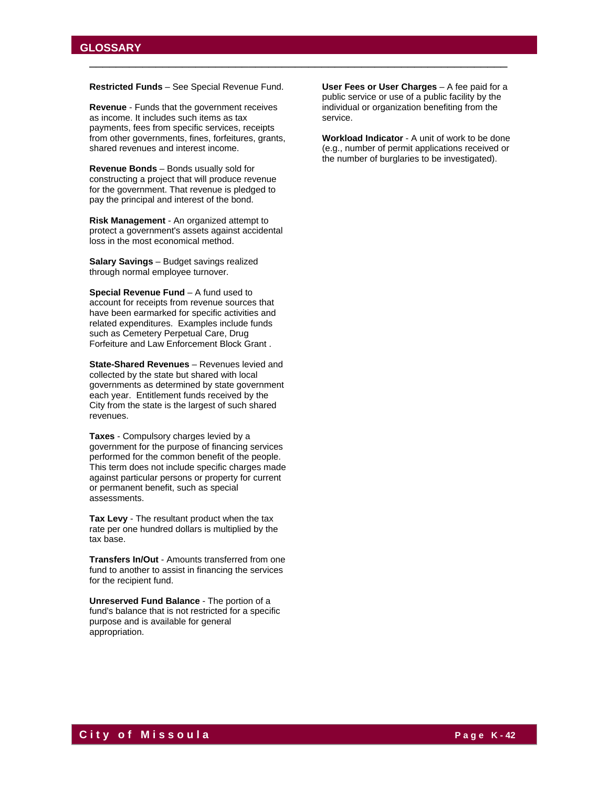**Restricted Funds** – See Special Revenue Fund.

\_\_\_\_\_\_\_\_\_\_\_\_\_\_\_\_\_\_\_\_\_\_\_\_\_\_\_\_\_\_\_\_\_\_\_\_\_\_\_\_\_\_\_\_\_\_\_\_\_\_\_\_\_\_\_\_\_\_\_\_\_\_\_

**Revenue** - Funds that the government receives as income. It includes such items as tax payments, fees from specific services, receipts from other governments, fines, forfeitures, grants, shared revenues and interest income.

**Revenue Bonds** – Bonds usually sold for constructing a project that will produce revenue for the government. That revenue is pledged to pay the principal and interest of the bond.

**Risk Management** - An organized attempt to protect a government's assets against accidental loss in the most economical method.

**Salary Savings** – Budget savings realized through normal employee turnover.

**Special Revenue Fund** – A fund used to account for receipts from revenue sources that have been earmarked for specific activities and related expenditures. Examples include funds such as Cemetery Perpetual Care, Drug Forfeiture and Law Enforcement Block Grant .

**State-Shared Revenues** – Revenues levied and collected by the state but shared with local governments as determined by state government each year. Entitlement funds received by the City from the state is the largest of such shared revenues.

**Taxes** - Compulsory charges levied by a government for the purpose of financing services performed for the common benefit of the people. This term does not include specific charges made against particular persons or property for current or permanent benefit, such as special assessments.

**Tax Levy** - The resultant product when the tax rate per one hundred dollars is multiplied by the tax base.

**Transfers In/Out** - Amounts transferred from one fund to another to assist in financing the services for the recipient fund.

**Unreserved Fund Balance** - The portion of a fund's balance that is not restricted for a specific purpose and is available for general appropriation.

**User Fees or User Charges** – A fee paid for a public service or use of a public facility by the individual or organization benefiting from the service.

**Workload Indicator** - A unit of work to be done (e.g., number of permit applications received or the number of burglaries to be investigated).